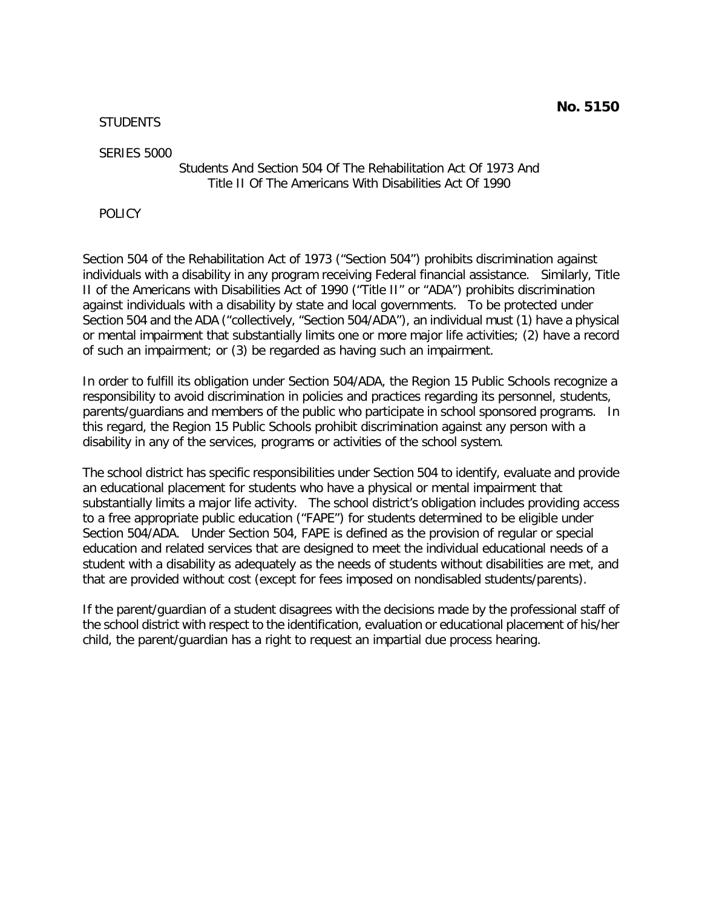**STUDENTS** 

SERIES 5000

# Students And Section 504 Of The Rehabilitation Act Of 1973 And Title II Of The Americans With Disabilities Act Of 1990

POLICY

Section 504 of the Rehabilitation Act of 1973 ("Section 504") prohibits discrimination against individuals with a disability in any program receiving Federal financial assistance. Similarly, Title II of the Americans with Disabilities Act of 1990 ("Title II" or "ADA") prohibits discrimination against individuals with a disability by state and local governments. To be protected under Section 504 and the ADA ("collectively, "Section 504/ADA"), an individual must (1) have a physical or mental impairment that substantially limits one or more major life activities; (2) have a record of such an impairment; or (3) be regarded as having such an impairment.

In order to fulfill its obligation under Section 504/ADA, the Region 15 Public Schools recognize a responsibility to avoid discrimination in policies and practices regarding its personnel, students, parents/guardians and members of the public who participate in school sponsored programs. In this regard, the Region 15 Public Schools prohibit discrimination against any person with a disability in any of the services, programs or activities of the school system.

The school district has specific responsibilities under Section 504 to identify, evaluate and provide an educational placement for students who have a physical or mental impairment that substantially limits a major life activity. The school district's obligation includes providing access to a free appropriate public education ("FAPE") for students determined to be eligible under Section 504/ADA. Under Section 504, FAPE is defined as the provision of regular or special education and related services that are designed to meet the individual educational needs of a student with a disability as adequately as the needs of students without disabilities are met, and that are provided without cost (except for fees imposed on nondisabled students/parents).

If the parent/guardian of a student disagrees with the decisions made by the professional staff of the school district with respect to the identification, evaluation or educational placement of his/her child, the parent/guardian has a right to request an impartial due process hearing.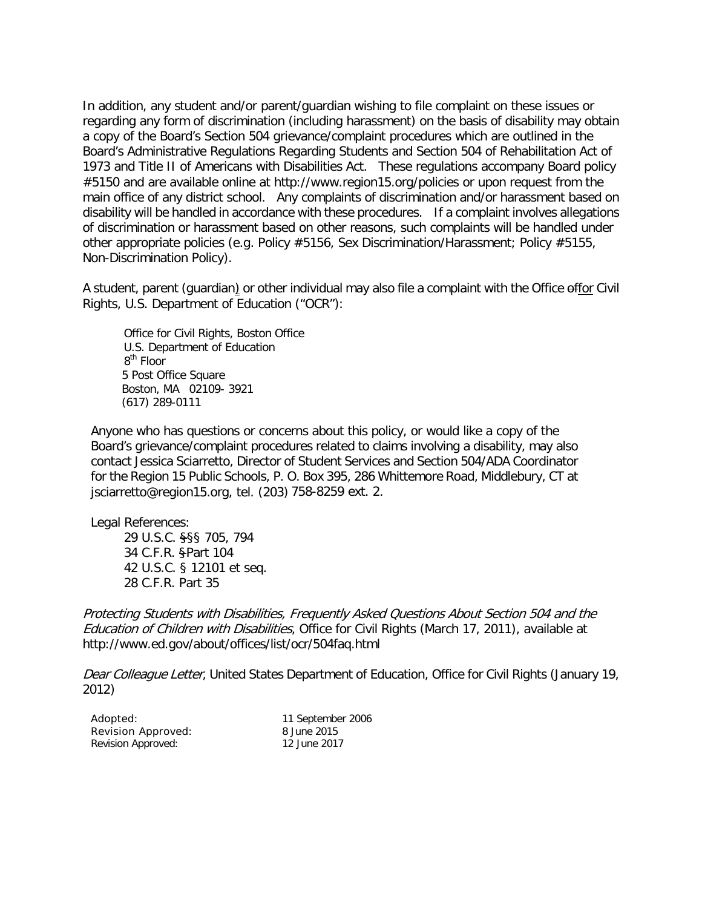In addition, any student and/or parent/guardian wishing to file complaint on these issues or regarding any form of discrimination (including harassment) on the basis of disability may obtain a copy of the Board's Section 504 grievance/complaint procedures which are outlined in the Board's Administrative Regulations Regarding Students and Section 504 of Rehabilitation Act of 1973 and Title II of Americans with Disabilities Act. These regulations accompany Board policy #5150 and are available online at<http://www.region15.org/policies> or upon request from the main office of any district school. Any complaints of discrimination and/or harassment based on disability will be handled in accordance with these procedures. If a complaint involves allegations of discrimination or harassment based on other reasons, such complaints will be handled under other appropriate policies (e.g. Policy #5156, Sex Discrimination/Harassment; Policy #5155, Non-Discrimination Policy).

A student, parent (guardian) or other individual may also file a complaint with the Office offor Civil Rights, U.S. Department of Education ("OCR"):

Office for Civil Rights, Boston Office U.S. Department of Education 8<sup>th</sup> Floor 5 Post Office Square Boston, MA 02109- 3921 (617) 289-0111

Anyone who has questions or concerns about this policy, or would like a copy of the Board's grievance/complaint procedures related to claims involving a disability, may also contact Jessica Sciarretto, Director of Student Services and Section 504/ADA Coordinator for the Region 15 Public Schools, P. O. Box 395, 286 Whittemore Road, Middlebury, CT at [jsciarretto@region15.org,](mailto:jsciarretto@region15.org) tel. (203) 758-8259 ext. 2.

Legal References:

29 U.S.C. §§§ 705, 794 34 C.F.R. §Part 104 42 U.S.C. § 12101 et seq. 28 C.F.R. Part 35

Protecting Students with Disabilities, Frequently Asked Questions About Section 504 and the Education of Children with Disabilities, Office for Civil Rights (March 17, 2011), available at <http://www.ed.gov/about/offices/list/ocr/504faq.html>

Dear Colleague Letter, United States Department of Education, Office for Civil Rights (January 19, 2012)

| Adopted:           | 11 September 2006 |
|--------------------|-------------------|
| Revision Approved: | 8 June 2015       |
| Revision Approved: | 12 June 2017      |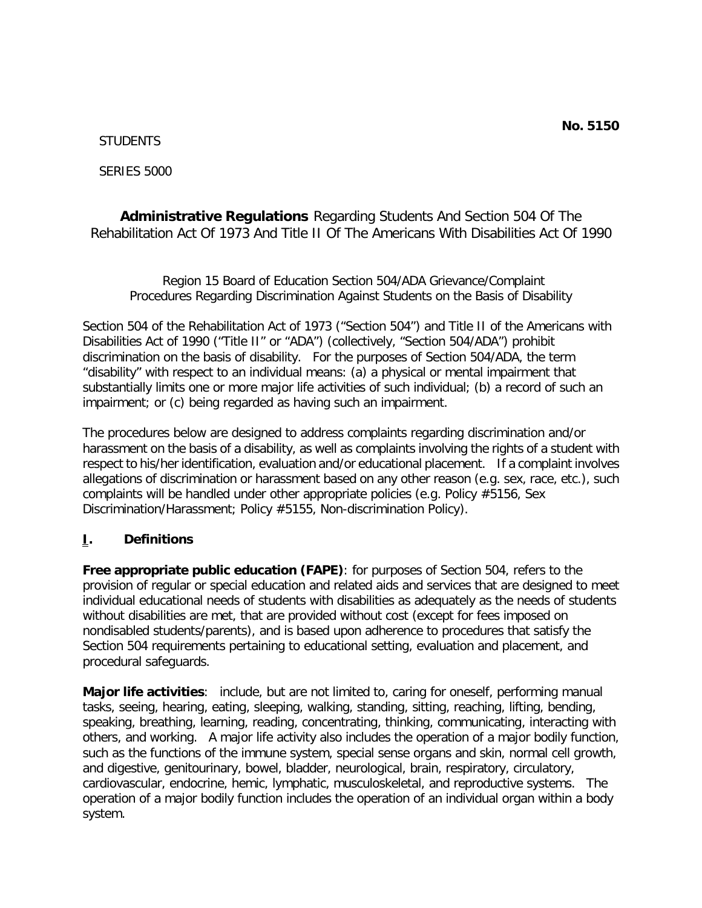### **STUDENTS**

SERIES 5000

**Administrative Regulations** Regarding Students And Section 504 Of The Rehabilitation Act Of 1973 And Title II Of The Americans With Disabilities Act Of 1990

Region 15 Board of Education Section 504/ADA Grievance/Complaint Procedures Regarding Discrimination Against Students on the Basis of Disability

Section 504 of the Rehabilitation Act of 1973 ("Section 504") and Title II of the Americans with Disabilities Act of 1990 ("Title II" or "ADA") (collectively, "Section 504/ADA") prohibit discrimination on the basis of disability. For the purposes of Section 504/ADA, the term "disability" with respect to an individual means: (a) a physical or mental impairment that substantially limits one or more major life activities of such individual; (b) a record of such an impairment; or (c) being regarded as having such an impairment.

The procedures below are designed to address complaints regarding discrimination and/or harassment on the basis of a disability, as well as complaints involving the rights of a student with respect to his/her identification, evaluation and/or educational placement. If a complaint involves allegations of discrimination or harassment based on any other reason (e.g. sex, race, etc.), such complaints will be handled under other appropriate policies (e.g. Policy #5156, Sex Discrimination/Harassment; Policy #5155, Non-discrimination Policy).

## **I. Definitions**

**Free appropriate public education (FAPE)**: for purposes of Section 504, refers to the provision of regular or special education and related aids and services that are designed to meet individual educational needs of students with disabilities as adequately as the needs of students without disabilities are met, that are provided without cost (except for fees imposed on nondisabled students/parents), and is based upon adherence to procedures that satisfy the Section 504 requirements pertaining to educational setting, evaluation and placement, and procedural safeguards.

**Major life activities**: include, but are not limited to, caring for oneself, performing manual tasks, seeing, hearing, eating, sleeping, walking, standing, sitting, reaching, lifting, bending, speaking, breathing, learning, reading, concentrating, thinking, communicating, interacting with others, and working. A major life activity also includes the operation of a major bodily function, such as the functions of the immune system, special sense organs and skin, normal cell growth, and digestive, genitourinary, bowel, bladder, neurological, brain, respiratory, circulatory, cardiovascular, endocrine, hemic, lymphatic, musculoskeletal, and reproductive systems. The operation of a major bodily function includes the operation of an individual organ within a body system.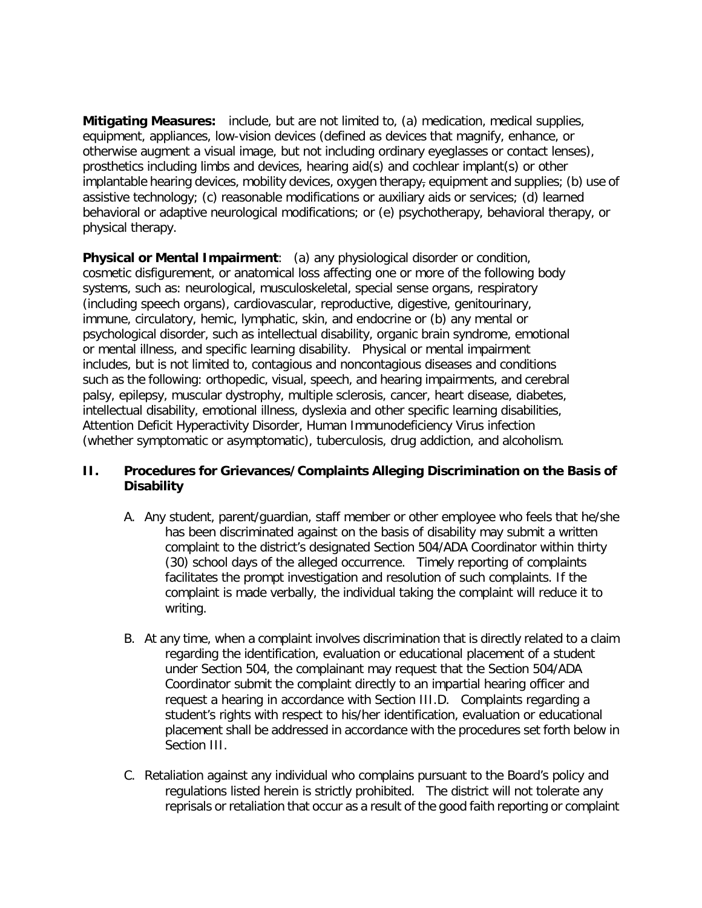**Mitigating Measures:** include, but are not limited to, (a) medication, medical supplies, equipment, appliances, low-vision devices (defined as devices that magnify, enhance, or otherwise augment a visual image, but not including ordinary eyeglasses or contact lenses), prosthetics including limbs and devices, hearing aid(s) and cochlear implant(s) or other implantable hearing devices, mobility devices, oxygen therapy, equipment and supplies; (b) use of assistive technology; (c) reasonable modifications or auxiliary aids or services; (d) learned behavioral or adaptive neurological modifications; or (e) psychotherapy, behavioral therapy, or physical therapy.

**Physical or Mental Impairment**: (a) any physiological disorder or condition, cosmetic disfigurement, or anatomical loss affecting one or more of the following body systems, such as: neurological, musculoskeletal, special sense organs, respiratory (including speech organs), cardiovascular, reproductive, digestive, genitourinary, immune, circulatory, hemic, lymphatic, skin, and endocrine or (b) any mental or psychological disorder, such as intellectual disability, organic brain syndrome, emotional or mental illness, and specific learning disability. Physical or mental impairment includes, but is not limited to, contagious and noncontagious diseases and conditions such as the following: orthopedic, visual, speech, and hearing impairments, and cerebral palsy, epilepsy, muscular dystrophy, multiple sclerosis, cancer, heart disease, diabetes, intellectual disability, emotional illness, dyslexia and other specific learning disabilities, Attention Deficit Hyperactivity Disorder, Human Immunodeficiency Virus infection (whether symptomatic or asymptomatic), tuberculosis, drug addiction, and alcoholism.

# **II. Procedures for Grievances/Complaints Alleging Discrimination on the Basis of Disability**

- A. Any student, parent/guardian, staff member or other employee who feels that he/she has been discriminated against on the basis of disability may submit a written complaint to the district's designated Section 504/ADA Coordinator within thirty (30) school days of the alleged occurrence. Timely reporting of complaints facilitates the prompt investigation and resolution of such complaints. If the complaint is made verbally, the individual taking the complaint will reduce it to writing.
- B. At any time, when a complaint involves discrimination that is directly related to a claim regarding the identification, evaluation or educational placement of a student under Section 504, the complainant may request that the Section 504/ADA Coordinator submit the complaint directly to an impartial hearing officer and request a hearing in accordance with Section III.D. Complaints regarding a student's rights with respect to his/her identification, evaluation or educational placement shall be addressed in accordance with the procedures set forth below in Section III.
- C. Retaliation against any individual who complains pursuant to the Board's policy and regulations listed herein is strictly prohibited. The district will not tolerate any reprisals or retaliation that occur as a result of the good faith reporting or complaint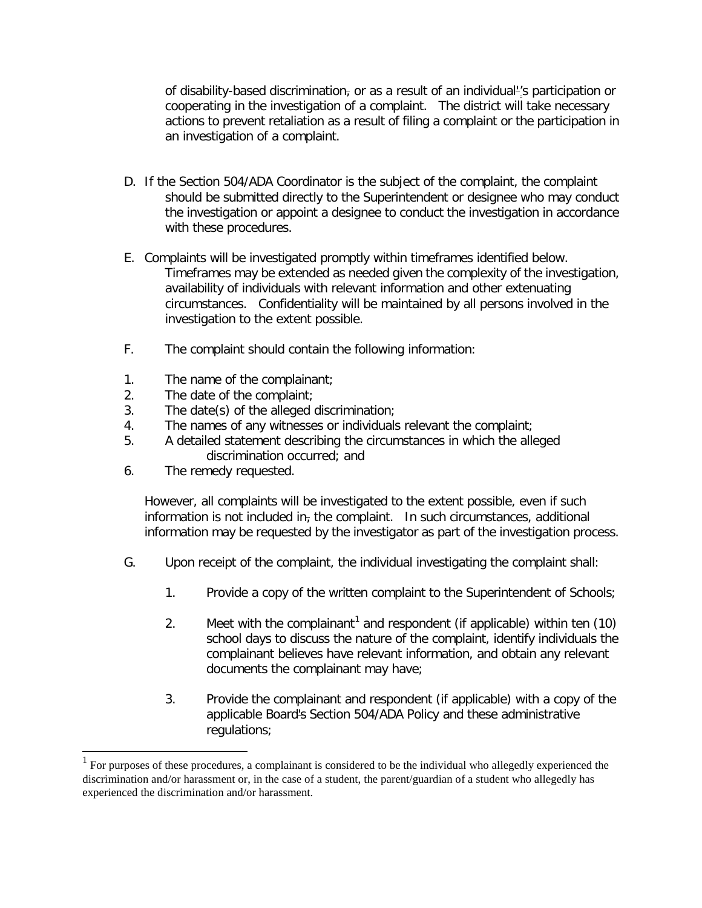of disability-based discrimination, or as a result of an individual-'s participation or cooperating in the investigation of a complaint. The district will take necessary actions to prevent retaliation as a result of filing a complaint or the participation in an investigation of a complaint.

- D. If the Section 504/ADA Coordinator is the subject of the complaint, the complaint should be submitted directly to the Superintendent or designee who may conduct the investigation or appoint a designee to conduct the investigation in accordance with these procedures.
- E. Complaints will be investigated promptly within timeframes identified below. Timeframes may be extended as needed given the complexity of the investigation, availability of individuals with relevant information and other extenuating circumstances. Confidentiality will be maintained by all persons involved in the investigation to the extent possible.
- F. The complaint should contain the following information:
- 1. The name of the complainant;
- 2. The date of the complaint;
- 3. The date(s) of the alleged discrimination;
- 4. The names of any witnesses or individuals relevant the complaint;
- 5. A detailed statement describing the circumstances in which the alleged discrimination occurred; and
- 6. The remedy requested.

However, all complaints will be investigated to the extent possible, even if such information is not included in, the complaint. In such circumstances, additional information may be requested by the investigator as part of the investigation process.

- G. Upon receipt of the complaint, the individual investigating the complaint shall:
	- 1. Provide a copy of the written complaint to the Superintendent of Schools;
	- 2. Meet with the complainant<sup>[1](#page-4-0)</sup> and respondent (if applicable) within ten (10) school days to discuss the nature of the complaint, identify individuals the complainant believes have relevant information, and obtain any relevant documents the complainant may have;
	- 3. Provide the complainant and respondent (if applicable) with a copy of the applicable Board's Section 504/ADA Policy and these administrative regulations;

<span id="page-4-0"></span> <sup>1</sup> For purposes of these procedures, a complainant is considered to be the individual who allegedly experienced the discrimination and/or harassment or, in the case of a student, the parent/guardian of a student who allegedly has experienced the discrimination and/or harassment.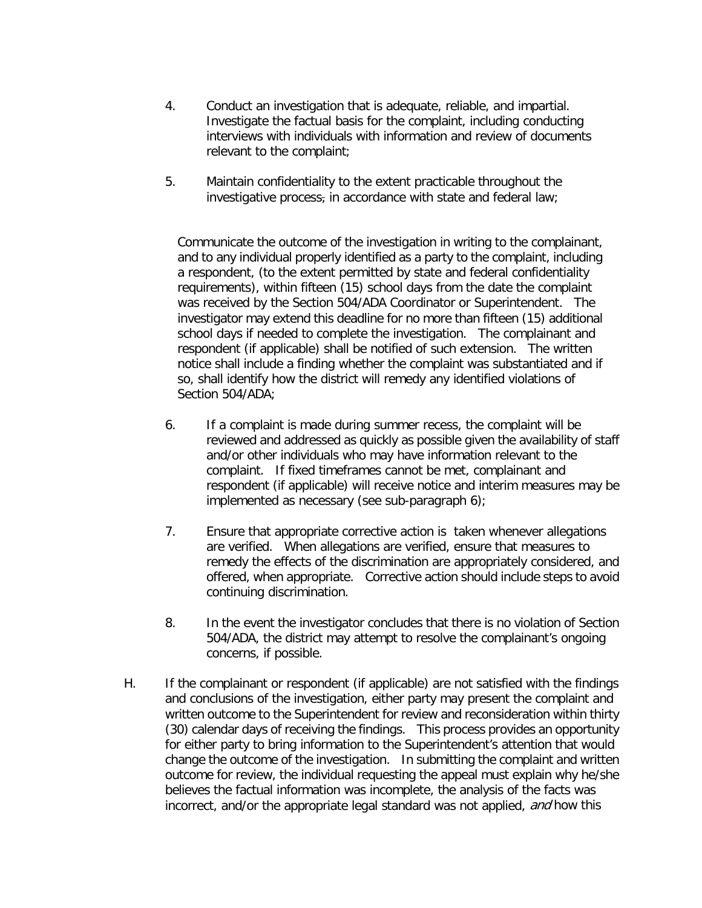- 4. Conduct an investigation that is adequate, reliable, and impartial. Investigate the factual basis for the complaint, including conducting interviews with individuals with information and review of documents relevant to the complaint;
- 5. Maintain confidentiality to the extent practicable throughout the investigative process, in accordance with state and federal law;

Communicate the outcome of the investigation in writing to the complainant, and to any individual properly identified as a party to the complaint, including a respondent, (to the extent permitted by state and federal confidentiality requirements), within fifteen (15) school days from the date the complaint was received by the Section 504/ADA Coordinator or Superintendent. The investigator may extend this deadline for no more than fifteen (15) additional school days if needed to complete the investigation. The complainant and respondent (if applicable) shall be notified of such extension. The written notice shall include a finding whether the complaint was substantiated and if so, shall identify how the district will remedy any identified violations of Section 504/ADA;

- 6. If a complaint is made during summer recess, the complaint will be reviewed and addressed as quickly as possible given the availability of staff and/or other individuals who may have information relevant to the complaint. If fixed timeframes cannot be met, complainant and respondent (if applicable) will receive notice and interim measures may be implemented as necessary (see sub-paragraph 6);
- 7. Ensure that appropriate corrective action is taken whenever allegations are verified. When allegations are verified, ensure that measures to remedy the effects of the discrimination are appropriately considered, and offered, when appropriate. Corrective action should include steps to avoid continuing discrimination.
- 8. In the event the investigator concludes that there is no violation of Section 504/ADA, the district may attempt to resolve the complainant's ongoing concerns, if possible.
- H. If the complainant or respondent (if applicable) are not satisfied with the findings and conclusions of the investigation, either party may present the complaint and written outcome to the Superintendent for review and reconsideration within thirty (30) calendar days of receiving the findings. This process provides an opportunity for either party to bring information to the Superintendent's attention that would change the outcome of the investigation. In submitting the complaint and written outcome for review, the individual requesting the appeal must explain why he/she believes the factual information was incomplete, the analysis of the facts was incorrect, and/or the appropriate legal standard was not applied, and how this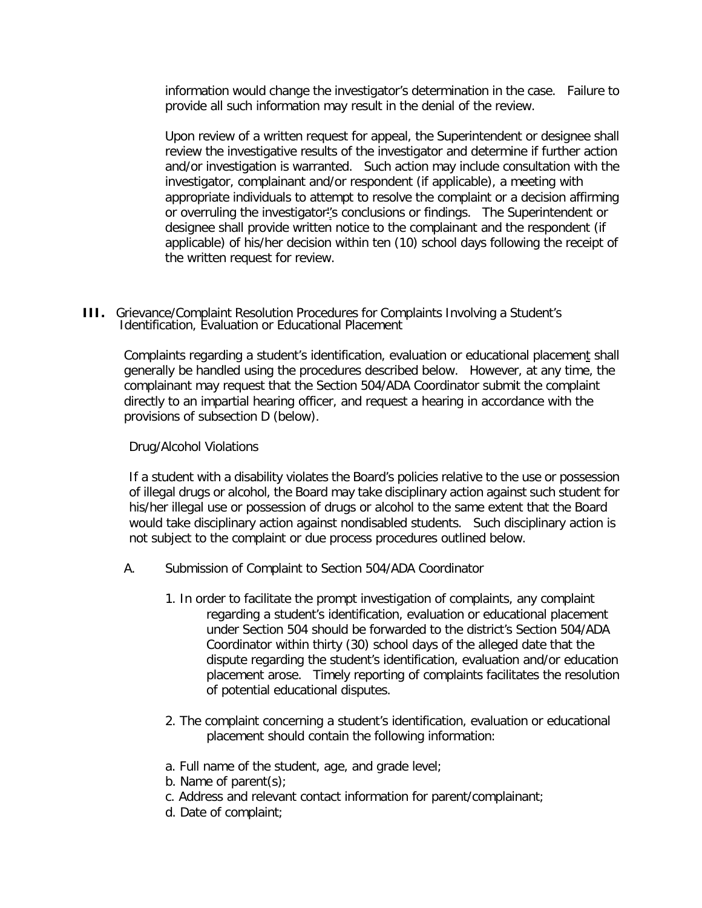information would change the investigator's determination in the case. Failure to provide all such information may result in the denial of the review.

Upon review of a written request for appeal, the Superintendent or designee shall review the investigative results of the investigator and determine if further action and/or investigation is warranted. Such action may include consultation with the investigator, complainant and/or respondent (if applicable), a meeting with appropriate individuals to attempt to resolve the complaint or a decision affirming or overruling the investigator''s conclusions or findings. The Superintendent or designee shall provide written notice to the complainant and the respondent (if applicable) of his/her decision within ten (10) school days following the receipt of the written request for review.

**III.** Grievance/Complaint Resolution Procedures for Complaints Involving a Student's Identification, Evaluation or Educational Placement

Complaints regarding a student's identification, evaluation or educational placement shall generally be handled using the procedures described below. However, at any time, the complainant may request that the Section 504/ADA Coordinator submit the complaint directly to an impartial hearing officer, and request a hearing in accordance with the provisions of subsection D (below).

#### Drug/Alcohol Violations

If a student with a disability violates the Board's policies relative to the use or possession of illegal drugs or alcohol, the Board may take disciplinary action against such student for his/her illegal use or possession of drugs or alcohol to the same extent that the Board would take disciplinary action against nondisabled students. Such disciplinary action is not subject to the complaint or due process procedures outlined below.

- A. Submission of Complaint to Section 504/ADA Coordinator
	- 1. In order to facilitate the prompt investigation of complaints, any complaint regarding a student's identification, evaluation or educational placement under Section 504 should be forwarded to the district's Section 504/ADA Coordinator within thirty (30) school days of the alleged date that the dispute regarding the student's identification, evaluation and/or education placement arose. Timely reporting of complaints facilitates the resolution of potential educational disputes.
	- 2. The complaint concerning a student's identification, evaluation or educational placement should contain the following information:
	- a. Full name of the student, age, and grade level;
	- b. Name of parent(s);
	- c. Address and relevant contact information for parent/complainant;
	- d. Date of complaint;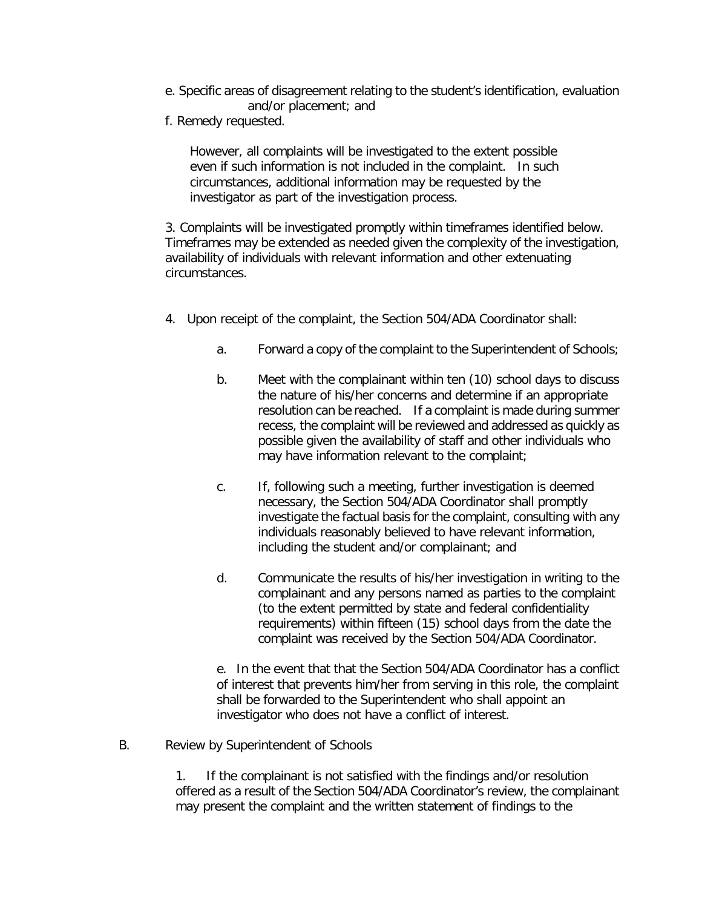- e. Specific areas of disagreement relating to the student's identification, evaluation and/or placement; and
- f. Remedy requested.

However, all complaints will be investigated to the extent possible even if such information is not included in the complaint. In such circumstances, additional information may be requested by the investigator as part of the investigation process.

3. Complaints will be investigated promptly within timeframes identified below. Timeframes may be extended as needed given the complexity of the investigation, availability of individuals with relevant information and other extenuating circumstances.

- 4. Upon receipt of the complaint, the Section 504/ADA Coordinator shall:
	- a. Forward a copy of the complaint to the Superintendent of Schools;
	- b. Meet with the complainant within ten (10) school days to discuss the nature of his/her concerns and determine if an appropriate resolution can be reached. If a complaint is made during summer recess, the complaint will be reviewed and addressed as quickly as possible given the availability of staff and other individuals who may have information relevant to the complaint;
	- c. If, following such a meeting, further investigation is deemed necessary, the Section 504/ADA Coordinator shall promptly investigate the factual basis for the complaint, consulting with any individuals reasonably believed to have relevant information, including the student and/or complainant; and
	- d. Communicate the results of his/her investigation in writing to the complainant and any persons named as parties to the complaint (to the extent permitted by state and federal confidentiality requirements) within fifteen (15) school days from the date the complaint was received by the Section 504/ADA Coordinator.

e. In the event that that the Section 504/ADA Coordinator has a conflict of interest that prevents him/her from serving in this role, the complaint shall be forwarded to the Superintendent who shall appoint an investigator who does not have a conflict of interest.

B. Review by Superintendent of Schools

1. If the complainant is not satisfied with the findings and/or resolution offered as a result of the Section 504/ADA Coordinator's review, the complainant may present the complaint and the written statement of findings to the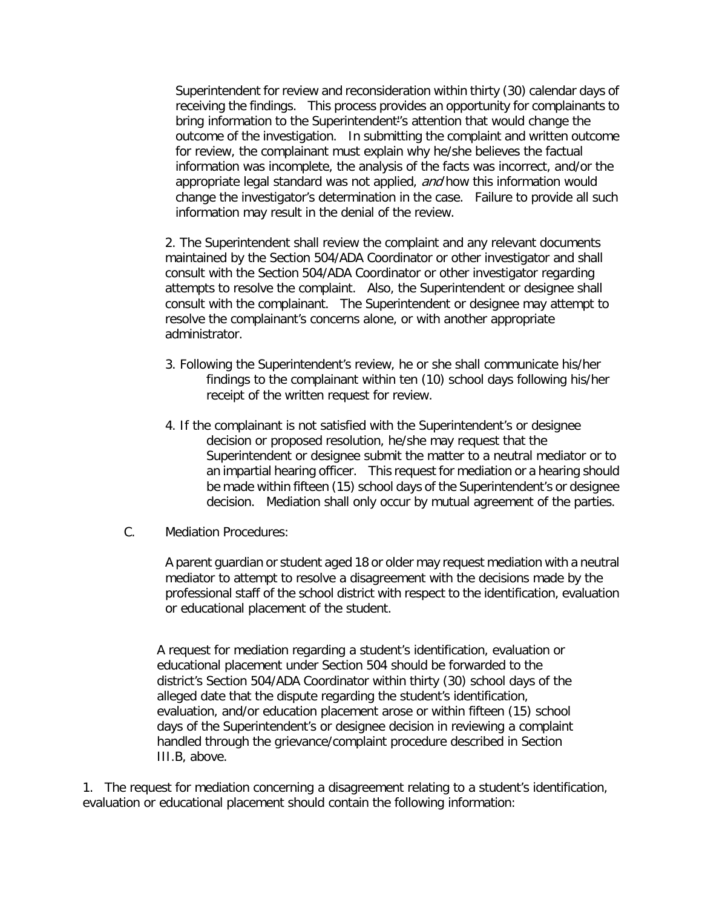Superintendent for review and reconsideration within thirty (30) calendar days of receiving the findings. This process provides an opportunity for complainants to bring information to the Superintendent''s attention that would change the outcome of the investigation. In submitting the complaint and written outcome for review, the complainant must explain why he/she believes the factual information was incomplete, the analysis of the facts was incorrect, and/or the appropriate legal standard was not applied, and how this information would change the investigator's determination in the case. Failure to provide all such information may result in the denial of the review.

2. The Superintendent shall review the complaint and any relevant documents maintained by the Section 504/ADA Coordinator or other investigator and shall consult with the Section 504/ADA Coordinator or other investigator regarding attempts to resolve the complaint. Also, the Superintendent or designee shall consult with the complainant. The Superintendent or designee may attempt to resolve the complainant's concerns alone, or with another appropriate administrator.

- 3. Following the Superintendent's review, he or she shall communicate his/her findings to the complainant within ten (10) school days following his/her receipt of the written request for review.
- 4. If the complainant is not satisfied with the Superintendent's or designee decision or proposed resolution, he/she may request that the Superintendent or designee submit the matter to a neutral mediator or to an impartial hearing officer. This request for mediation or a hearing should be made within fifteen (15) school days of the Superintendent's or designee decision. Mediation shall only occur by mutual agreement of the parties.
- C. Mediation Procedures:

A parent guardian or student aged 18 or older may request mediation with a neutral mediator to attempt to resolve a disagreement with the decisions made by the professional staff of the school district with respect to the identification, evaluation or educational placement of the student.

A request for mediation regarding a student's identification, evaluation or educational placement under Section 504 should be forwarded to the district's Section 504/ADA Coordinator within thirty (30) school days of the alleged date that the dispute regarding the student's identification, evaluation, and/or education placement arose or within fifteen (15) school days of the Superintendent's or designee decision in reviewing a complaint handled through the grievance/complaint procedure described in Section III.B, above.

1. The request for mediation concerning a disagreement relating to a student's identification, evaluation or educational placement should contain the following information: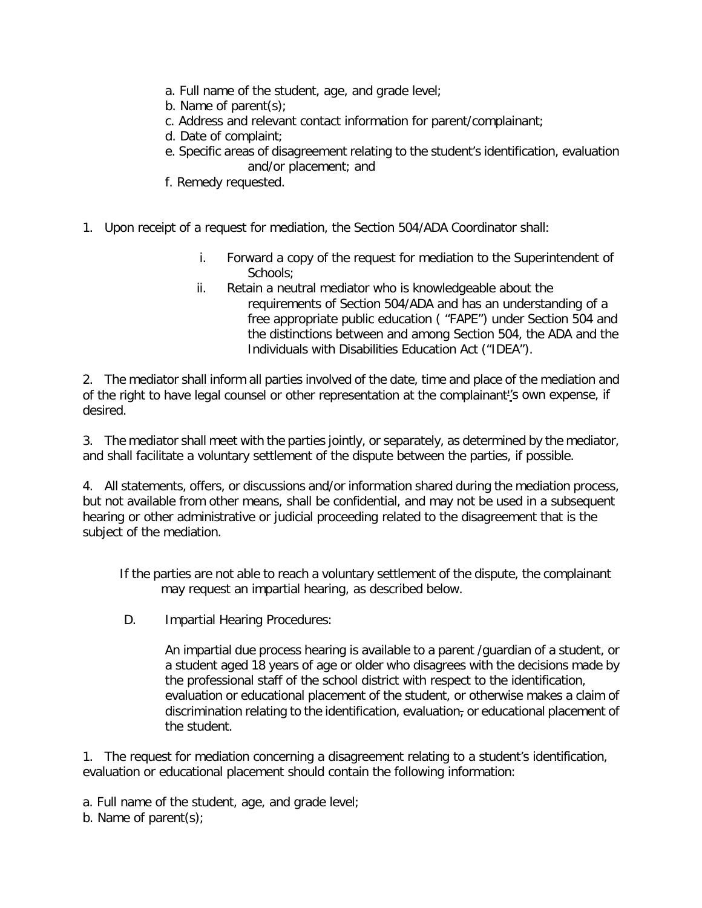- a. Full name of the student, age, and grade level;
- b. Name of parent(s);
- c. Address and relevant contact information for parent/complainant;
- d. Date of complaint;
- e. Specific areas of disagreement relating to the student's identification, evaluation and/or placement; and
- f. Remedy requested.
- 1. Upon receipt of a request for mediation, the Section 504/ADA Coordinator shall:
	- i. Forward a copy of the request for mediation to the Superintendent of Schools;
	- ii. Retain a neutral mediator who is knowledgeable about the requirements of Section 504/ADA and has an understanding of a free appropriate public education ( "FAPE") under Section 504 and the distinctions between and among Section 504, the ADA and the Individuals with Disabilities Education Act ("IDEA").

2. The mediator shall inform all parties involved of the date, time and place of the mediation and of the right to have legal counsel or other representation at the complainant''s own expense, if desired.

3. The mediator shall meet with the parties jointly, or separately, as determined by the mediator, and shall facilitate a voluntary settlement of the dispute between the parties, if possible.

4. All statements, offers, or discussions and/or information shared during the mediation process, but not available from other means, shall be confidential, and may not be used in a subsequent hearing or other administrative or judicial proceeding related to the disagreement that is the subject of the mediation.

If the parties are not able to reach a voluntary settlement of the dispute, the complainant may request an impartial hearing, as described below.

D. Impartial Hearing Procedures:

An impartial due process hearing is available to a parent /guardian of a student, or a student aged 18 years of age or older who disagrees with the decisions made by the professional staff of the school district with respect to the identification, evaluation or educational placement of the student, or otherwise makes a claim of discrimination relating to the identification, evaluation, or educational placement of the student.

1. The request for mediation concerning a disagreement relating to a student's identification, evaluation or educational placement should contain the following information:

a. Full name of the student, age, and grade level;

b. Name of parent(s);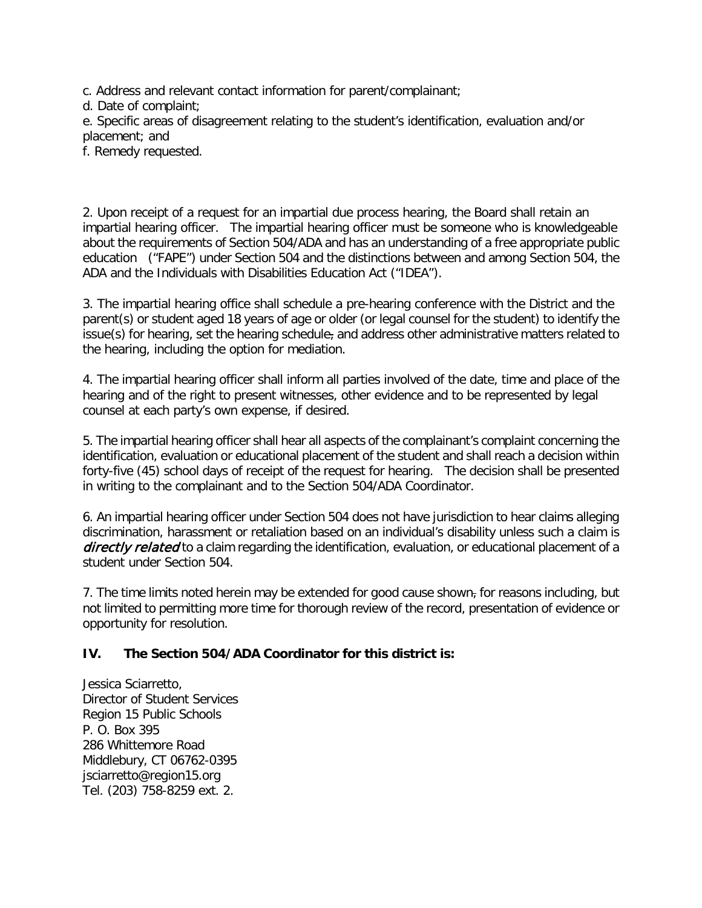c. Address and relevant contact information for parent/complainant;

d. Date of complaint;

e. Specific areas of disagreement relating to the student's identification, evaluation and/or placement; and

f. Remedy requested.

2. Upon receipt of a request for an impartial due process hearing, the Board shall retain an impartial hearing officer. The impartial hearing officer must be someone who is knowledgeable about the requirements of Section 504/ADA and has an understanding of a free appropriate public education ("FAPE") under Section 504 and the distinctions between and among Section 504, the ADA and the Individuals with Disabilities Education Act ("IDEA").

3. The impartial hearing office shall schedule a pre-hearing conference with the District and the parent(s) or student aged 18 years of age or older (or legal counsel for the student) to identify the issue(s) for hearing, set the hearing schedule, and address other administrative matters related to the hearing, including the option for mediation.

4. The impartial hearing officer shall inform all parties involved of the date, time and place of the hearing and of the right to present witnesses, other evidence and to be represented by legal counsel at each party's own expense, if desired.

5. The impartial hearing officer shall hear all aspects of the complainant's complaint concerning the identification, evaluation or educational placement of the student and shall reach a decision within forty-five (45) school days of receipt of the request for hearing. The decision shall be presented in writing to the complainant and to the Section 504/ADA Coordinator.

6. An impartial hearing officer under Section 504 does not have jurisdiction to hear claims alleging discrimination, harassment or retaliation based on an individual's disability unless such a claim is directly related to a claim regarding the identification, evaluation, or educational placement of a student under Section 504.

7. The time limits noted herein may be extended for good cause shown<sub>7</sub> for reasons including, but not limited to permitting more time for thorough review of the record, presentation of evidence or opportunity for resolution.

# **IV. The Section 504/ADA Coordinator for this district is:**

Jessica Sciarretto, Director of Student Services Region 15 Public Schools P. O. Box 395 286 Whittemore Road Middlebury, CT 06762-0395 [jsciarretto@region15.org](mailto:jsciarretto@region15.org) Tel. (203) 758-8259 ext. 2.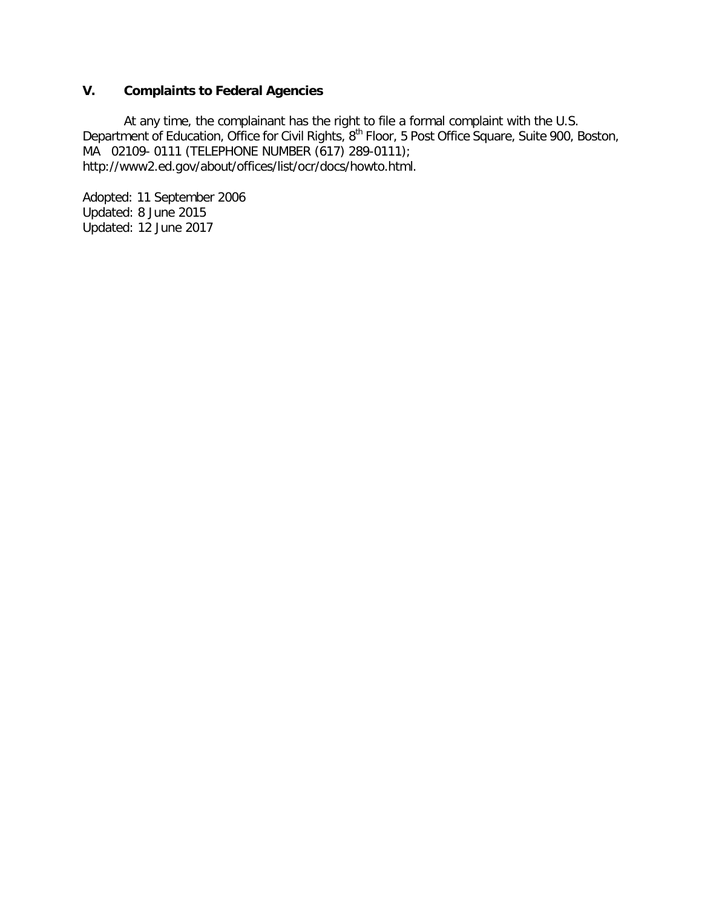# **V. Complaints to Federal Agencies**

At any time, the complainant has the right to file a formal complaint with the U.S. Department of Education, Office for Civil Rights, 8<sup>th</sup> Floor, 5 Post Office Square, Suite 900, Boston, MA 02109- 0111 (TELEPHONE NUMBER (617) 289-0111); http://www2.ed.gov/about/offices/list/ocr/docs/howto.html.

Adopted: 11 September 2006 Updated: 8 June 2015 Updated: 12 June 2017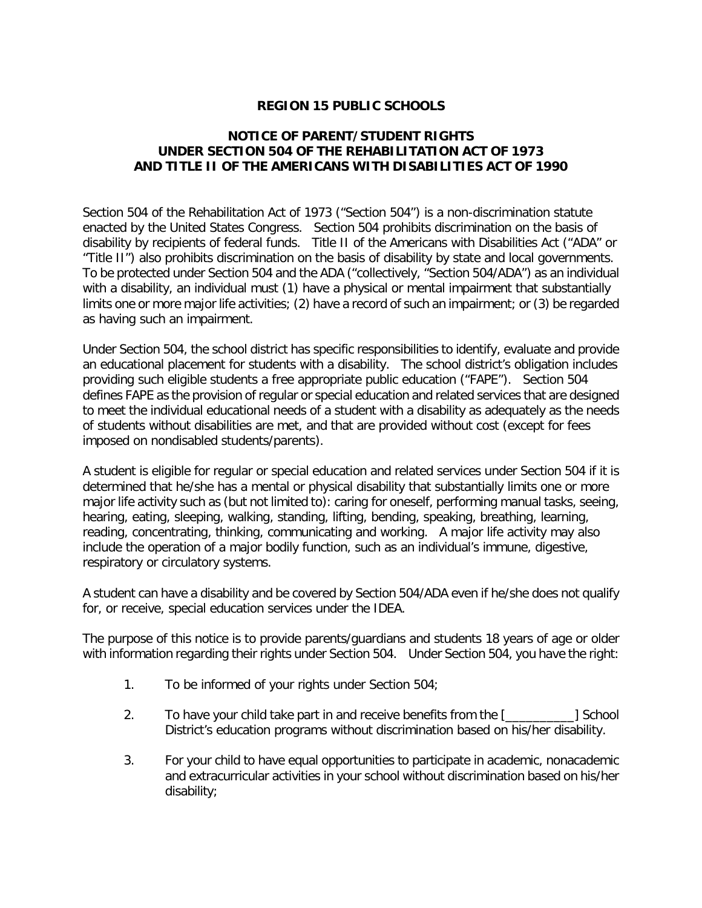# **REGION 15 PUBLIC SCHOOLS**

# **NOTICE OF PARENT/STUDENT RIGHTS UNDER SECTION 504 OF THE REHABILITATION ACT OF 1973 AND TITLE II OF THE AMERICANS WITH DISABILITIES ACT OF 1990**

Section 504 of the Rehabilitation Act of 1973 ("Section 504") is a non-discrimination statute enacted by the United States Congress. Section 504 prohibits discrimination on the basis of disability by recipients of federal funds. Title II of the Americans with Disabilities Act ("ADA" or "Title II") also prohibits discrimination on the basis of disability by state and local governments. To be protected under Section 504 and the ADA ("collectively, "Section 504/ADA") as an individual with a disability, an individual must (1) have a physical or mental impairment that substantially limits one or more major life activities; (2) have a record of such an impairment; or (3) be regarded as having such an impairment.

Under Section 504, the school district has specific responsibilities to identify, evaluate and provide an educational placement for students with a disability. The school district's obligation includes providing such eligible students a free appropriate public education ("FAPE"). Section 504 defines FAPE as the provision of regular or special education and related services that are designed to meet the individual educational needs of a student with a disability as adequately as the needs of students without disabilities are met, and that are provided without cost (except for fees imposed on nondisabled students/parents).

A student is eligible for regular or special education and related services under Section 504 if it is determined that he/she has a mental or physical disability that substantially limits one or more major life activity such as (but not limited to): caring for oneself, performing manual tasks, seeing, hearing, eating, sleeping, walking, standing, lifting, bending, speaking, breathing, learning, reading, concentrating, thinking, communicating and working. A major life activity may also include the operation of a major bodily function, such as an individual's immune, digestive, respiratory or circulatory systems.

A student can have a disability and be covered by Section 504/ADA even if he/she does not qualify for, or receive, special education services under the IDEA.

The purpose of this notice is to provide parents/guardians and students 18 years of age or older with information regarding their rights under Section 504. Under Section 504, you have the right:

- 1. To be informed of your rights under Section 504;
- 2. To have your child take part in and receive benefits from the [\_\_\_\_\_\_\_\_\_\_] School District's education programs without discrimination based on his/her disability.
- 3. For your child to have equal opportunities to participate in academic, nonacademic and extracurricular activities in your school without discrimination based on his/her disability;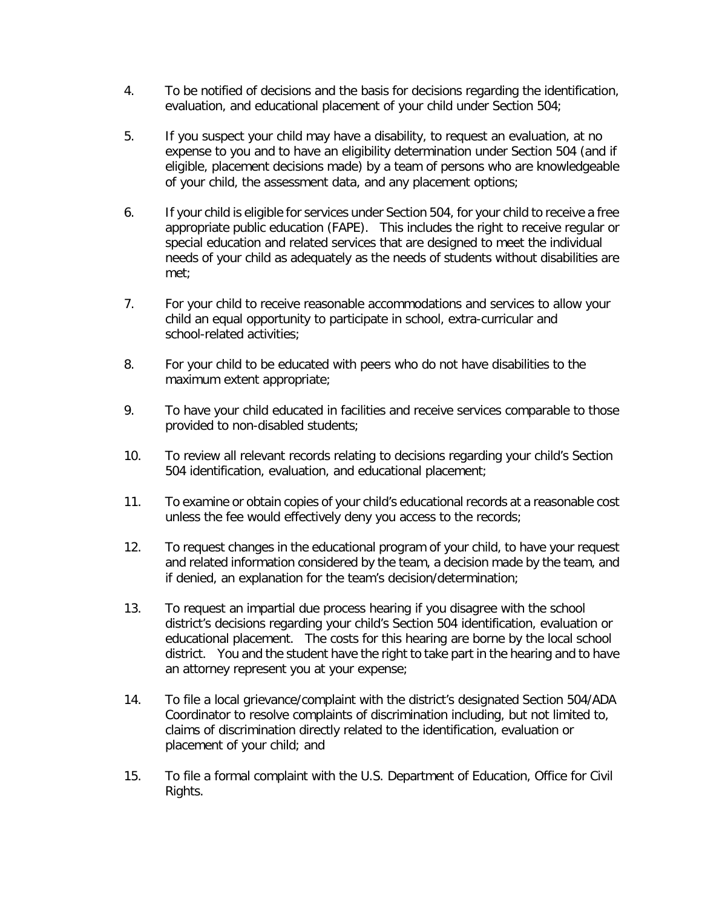- 4. To be notified of decisions and the basis for decisions regarding the identification, evaluation, and educational placement of your child under Section 504;
- 5. If you suspect your child may have a disability, to request an evaluation, at no expense to you and to have an eligibility determination under Section 504 (and if eligible, placement decisions made) by a team of persons who are knowledgeable of your child, the assessment data, and any placement options;
- 6. If your child is eligible for services under Section 504, for your child to receive a free appropriate public education (FAPE). This includes the right to receive regular or special education and related services that are designed to meet the individual needs of your child as adequately as the needs of students without disabilities are met;
- 7. For your child to receive reasonable accommodations and services to allow your child an equal opportunity to participate in school, extra-curricular and school-related activities;
- 8. For your child to be educated with peers who do not have disabilities to the maximum extent appropriate;
- 9. To have your child educated in facilities and receive services comparable to those provided to non-disabled students;
- 10. To review all relevant records relating to decisions regarding your child's Section 504 identification, evaluation, and educational placement;
- 11. To examine or obtain copies of your child's educational records at a reasonable cost unless the fee would effectively deny you access to the records;
- 12. To request changes in the educational program of your child, to have your request and related information considered by the team, a decision made by the team, and if denied, an explanation for the team's decision/determination;
- 13. To request an impartial due process hearing if you disagree with the school district's decisions regarding your child's Section 504 identification, evaluation or educational placement. The costs for this hearing are borne by the local school district. You and the student have the right to take part in the hearing and to have an attorney represent you at your expense;
- 14. To file a local grievance/complaint with the district's designated Section 504/ADA Coordinator to resolve complaints of discrimination including, but not limited to, claims of discrimination directly related to the identification, evaluation or placement of your child; and
- 15. To file a formal complaint with the U.S. Department of Education, Office for Civil Rights.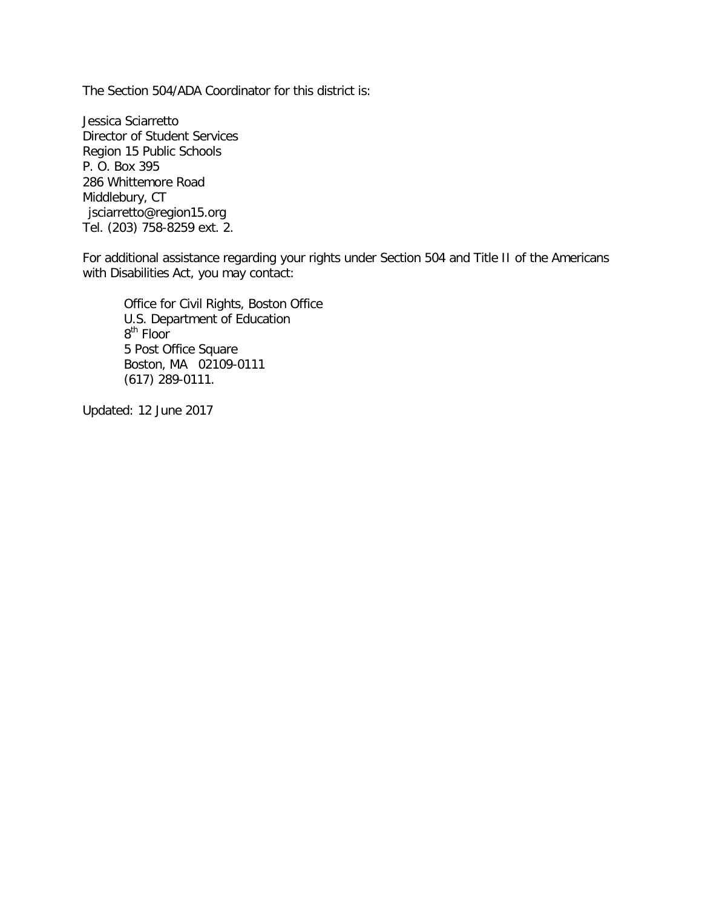The Section 504/ADA Coordinator for this district is:

Jessica Sciarretto Director of Student Services Region 15 Public Schools P. O. Box 395 286 Whittemore Road Middlebury, CT [jsciarretto@region15.org](mailto:jsciarretto@region15.org) Tel. (203) 758-8259 ext. 2.

For additional assistance regarding your rights under Section 504 and Title II of the Americans with Disabilities Act, you may contact:

Office for Civil Rights, Boston Office U.S. Department of Education 8<sup>th</sup> Floor 5 Post Office Square Boston, MA 02109-0111 (617) 289-0111.

Updated: 12 June 2017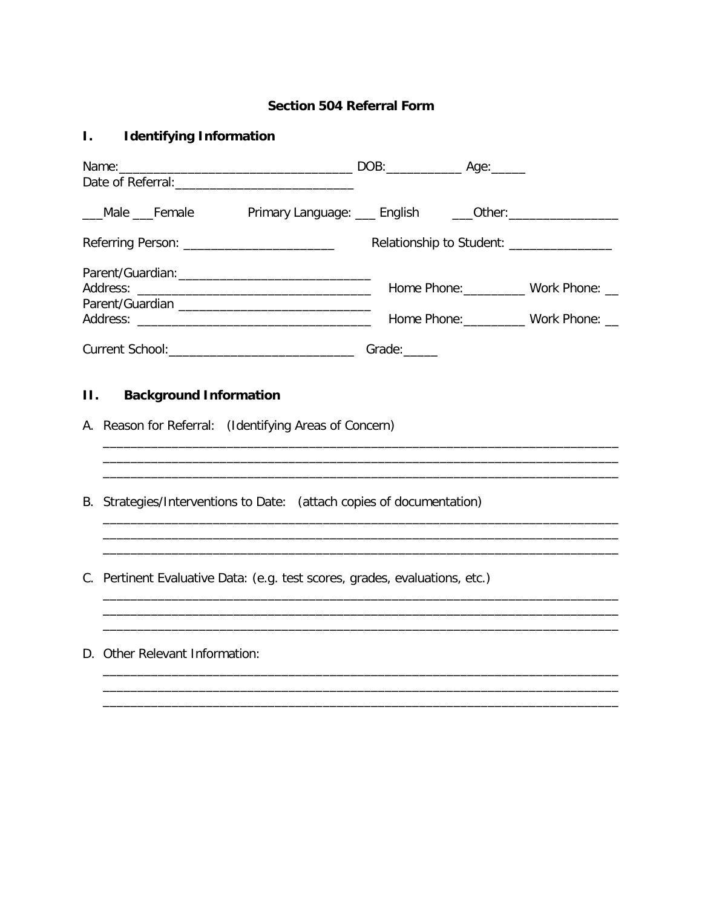# **Section 504 Referral Form**

#### **Identifying Information**  $\overline{L}$

| Date of Referral: Date of Referral contracts and the set of Referral contracts and the set of the set of the set of the set of the set of the set of the set of the set of the set of the set of the set of the set of the set                   |                                           |                                                          |  |
|--------------------------------------------------------------------------------------------------------------------------------------------------------------------------------------------------------------------------------------------------|-------------------------------------------|----------------------------------------------------------|--|
| ___Male ___Female Primary Language: ___ English _____Other: ____________________                                                                                                                                                                 |                                           |                                                          |  |
|                                                                                                                                                                                                                                                  | Relationship to Student: ________________ |                                                          |  |
| Address:<br><u> 1989 - Johann Harry Harry Harry Harry Harry Harry Harry Harry Harry Harry Harry Harry Harry Harry Harry Harry Harry Harry Harry Harry Harry Harry Harry Harry Harry Harry Harry Harry Harry Harry Harry Harry Harry Harry Ha</u> |                                           | Home Phone: Work Phone: __<br>Home Phone: Work Phone: __ |  |
|                                                                                                                                                                                                                                                  |                                           |                                                          |  |
| <b>II.</b> Background Information<br>A. Reason for Referral: (Identifying Areas of Concern)                                                                                                                                                      |                                           |                                                          |  |
| B. Strategies/Interventions to Date: (attach copies of documentation)                                                                                                                                                                            |                                           |                                                          |  |
| C. Pertinent Evaluative Data: (e.g. test scores, grades, evaluations, etc.)                                                                                                                                                                      |                                           |                                                          |  |
| D. Other Relevant Information:                                                                                                                                                                                                                   |                                           |                                                          |  |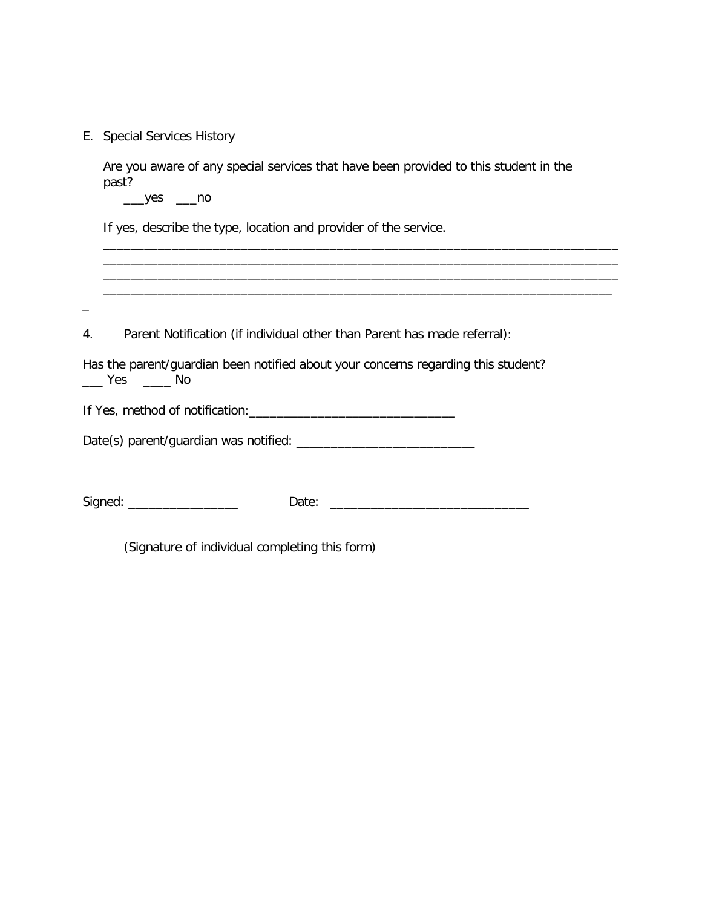|  |  | E. Special Services History |  |
|--|--|-----------------------------|--|
|--|--|-----------------------------|--|

Are you aware of any special services that have been provided to this student in the past?

\_\_\_\_\_\_\_\_\_\_\_\_\_\_\_\_\_\_\_\_\_\_\_\_\_\_\_\_\_\_\_\_\_\_\_\_\_\_\_\_\_\_\_\_\_\_\_\_\_\_\_\_\_\_\_\_\_\_\_\_\_\_\_\_\_\_\_\_\_\_\_\_\_\_\_ \_\_\_\_\_\_\_\_\_\_\_\_\_\_\_\_\_\_\_\_\_\_\_\_\_\_\_\_\_\_\_\_\_\_\_\_\_\_\_\_\_\_\_\_\_\_\_\_\_\_\_\_\_\_\_\_\_\_\_\_\_\_\_\_\_\_\_\_\_\_\_\_\_\_\_ \_\_\_\_\_\_\_\_\_\_\_\_\_\_\_\_\_\_\_\_\_\_\_\_\_\_\_\_\_\_\_\_\_\_\_\_\_\_\_\_\_\_\_\_\_\_\_\_\_\_\_\_\_\_\_\_\_\_\_\_\_\_\_\_\_\_\_\_\_\_\_\_\_\_\_ \_\_\_\_\_\_\_\_\_\_\_\_\_\_\_\_\_\_\_\_\_\_\_\_\_\_\_\_\_\_\_\_\_\_\_\_\_\_\_\_\_\_\_\_\_\_\_\_\_\_\_\_\_\_\_\_\_\_\_\_\_\_\_\_\_\_\_\_\_\_\_\_\_\_

 $\rule{1em}{0.15mm}$  yes  $\rule{1em}{0.15mm}$  no

\_

If yes, describe the type, location and provider of the service.

4. Parent Notification (if individual other than Parent has made referral):

Has the parent/guardian been notified about your concerns regarding this student? \_\_\_ Yes \_\_\_\_ No

If Yes, method of notification:\_\_\_\_\_\_\_\_\_\_\_\_\_\_\_\_\_\_\_\_\_\_\_\_\_\_\_\_\_\_

Date(s) parent/guardian was notified: \_\_\_\_\_\_\_\_\_\_\_\_\_\_\_\_\_\_\_\_\_\_\_\_\_\_

Signed: \_\_\_\_\_\_\_\_\_\_\_\_\_\_\_\_ Date: \_\_\_\_\_\_\_\_\_\_\_\_\_\_\_\_\_\_\_\_\_\_\_\_\_\_\_\_\_

(Signature of individual completing this form)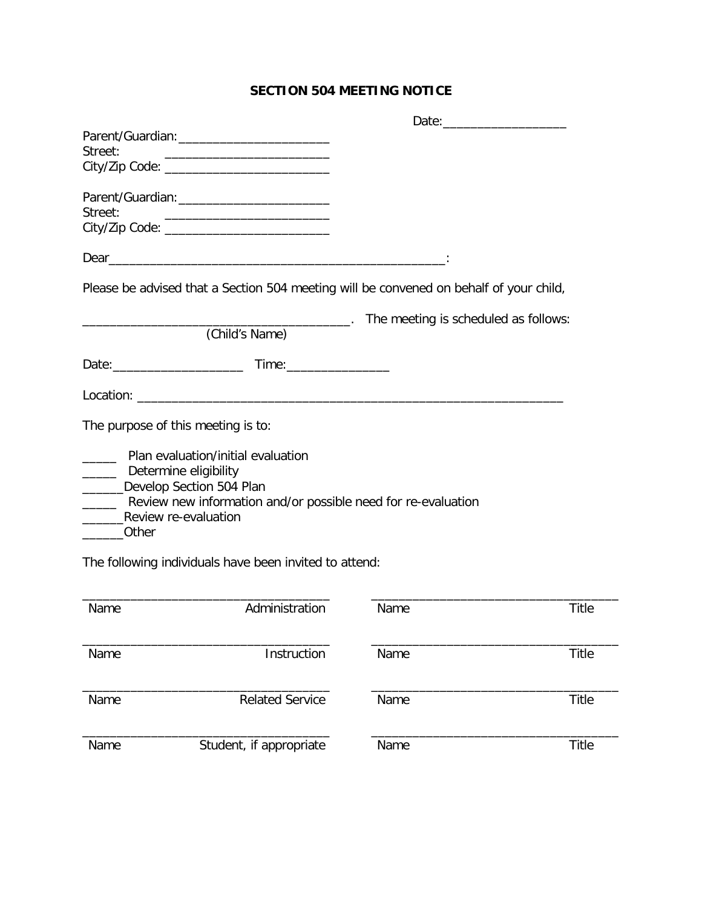# **SECTION 504 MEETING NOTICE**

| Street:                                                              |                                                                                                                                              |                                                    |              |
|----------------------------------------------------------------------|----------------------------------------------------------------------------------------------------------------------------------------------|----------------------------------------------------|--------------|
|                                                                      | City/Zip Code: ______________________________                                                                                                |                                                    |              |
|                                                                      |                                                                                                                                              |                                                    |              |
| Street:                                                              | <u> 1989 - Andrea Stadt, fransk politiker (d. 1989)</u>                                                                                      |                                                    |              |
|                                                                      |                                                                                                                                              |                                                    |              |
|                                                                      |                                                                                                                                              |                                                    |              |
|                                                                      | Please be advised that a Section 504 meeting will be convened on behalf of your child,                                                       |                                                    |              |
|                                                                      |                                                                                                                                              | ____________. The meeting is scheduled as follows: |              |
|                                                                      | (Child's Name)                                                                                                                               |                                                    |              |
|                                                                      |                                                                                                                                              |                                                    |              |
|                                                                      |                                                                                                                                              |                                                    |              |
|                                                                      | The purpose of this meeting is to:                                                                                                           |                                                    |              |
| ______ Determine eligibility<br>Review re-evaluation<br><b>Other</b> | Plan evaluation/initial evaluation<br>______Develop Section 504 Plan<br>______ Review new information and/or possible need for re-evaluation |                                                    |              |
|                                                                      | The following individuals have been invited to attend:                                                                                       |                                                    |              |
| Name                                                                 | Administration                                                                                                                               | Name                                               | <b>Title</b> |
| Name                                                                 | Instruction                                                                                                                                  | Name                                               | Title        |
| Name                                                                 | <b>Related Service</b>                                                                                                                       | Name                                               | Title        |
| Name                                                                 | Student, if appropriate                                                                                                                      | Name                                               | Title        |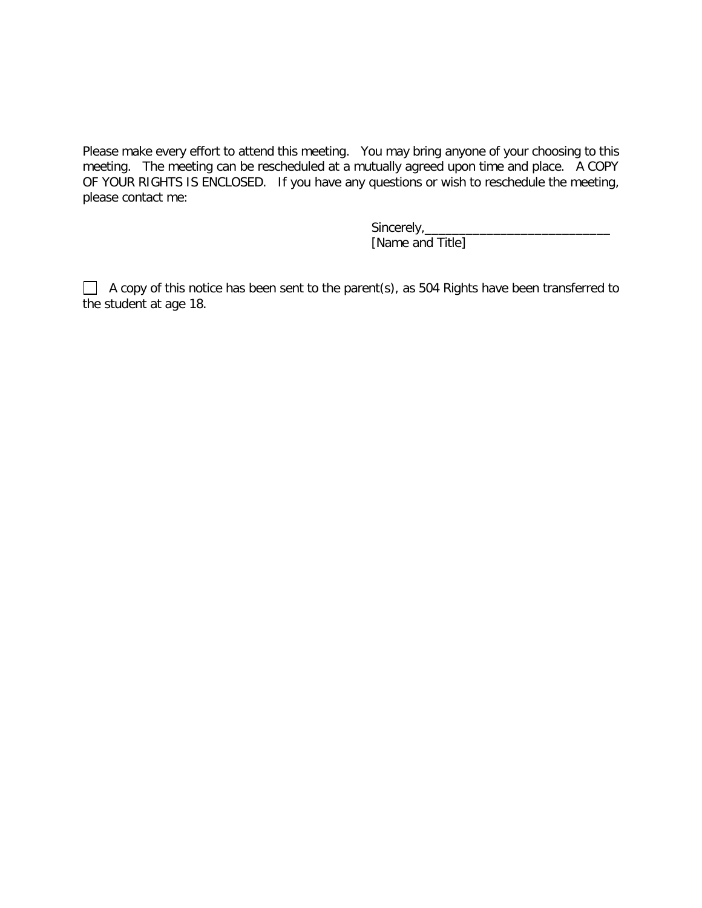Please make every effort to attend this meeting. You may bring anyone of your choosing to this meeting. The meeting can be rescheduled at a mutually agreed upon time and place. A COPY OF YOUR RIGHTS IS ENCLOSED. If you have any questions or wish to reschedule the meeting, please contact me:

> Sincerely,\_\_\_\_\_\_\_\_\_\_\_\_\_\_\_\_\_\_\_\_\_\_\_\_\_\_\_ [Name and Title]

 $\Box$  A copy of this notice has been sent to the parent(s), as 504 Rights have been transferred to the student at age 18.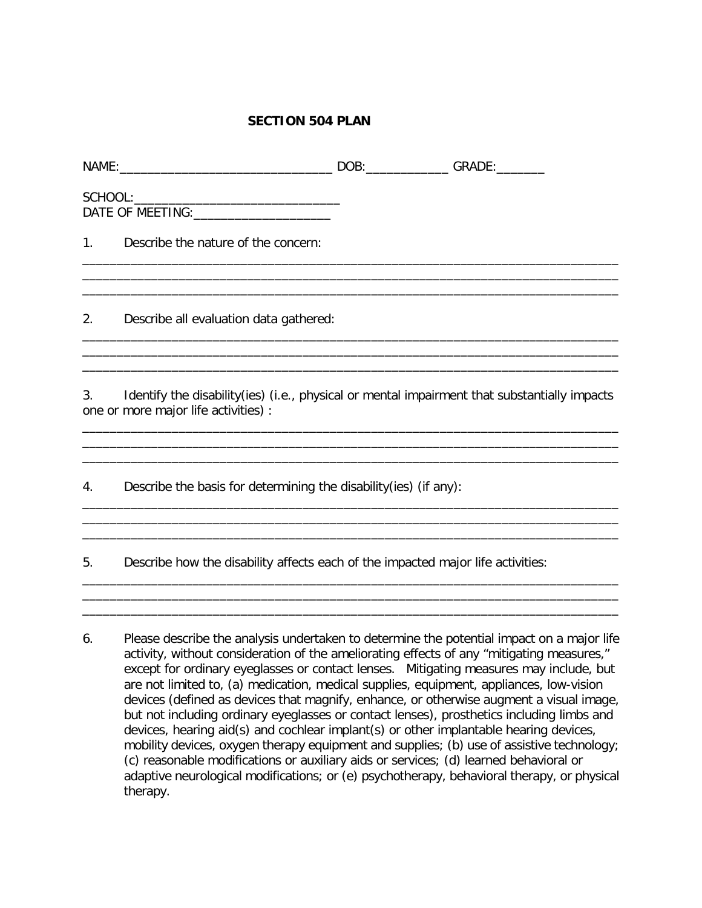### **SECTION 504 PLAN**

|             |    | - - - -                       |
|-------------|----|-------------------------------|
| <b>NAME</b> | -- | $\mathbf{r}$<br>۱۱<br>--<br>. |

| SCHOOL:          |  |
|------------------|--|
| DATE OF MEETING: |  |

1. Describe the nature of the concern:

2. Describe all evaluation data gathered:

3. Identify the disability(ies) (i.e., physical or mental impairment that substantially impacts one or more major life activities) :

\_\_\_\_\_\_\_\_\_\_\_\_\_\_\_\_\_\_\_\_\_\_\_\_\_\_\_\_\_\_\_\_\_\_\_\_\_\_\_\_\_\_\_\_\_\_\_\_\_\_\_\_\_\_\_\_\_\_\_\_\_\_\_\_\_\_\_\_\_\_\_\_\_\_\_\_\_\_

\_\_\_\_\_\_\_\_\_\_\_\_\_\_\_\_\_\_\_\_\_\_\_\_\_\_\_\_\_\_\_\_\_\_\_\_\_\_\_\_\_\_\_\_\_\_\_\_\_\_\_\_\_\_\_\_\_\_\_\_\_\_\_\_\_\_\_\_\_\_\_\_\_\_\_\_\_\_ \_\_\_\_\_\_\_\_\_\_\_\_\_\_\_\_\_\_\_\_\_\_\_\_\_\_\_\_\_\_\_\_\_\_\_\_\_\_\_\_\_\_\_\_\_\_\_\_\_\_\_\_\_\_\_\_\_\_\_\_\_\_\_\_\_\_\_\_\_\_\_\_\_\_\_\_\_\_ \_\_\_\_\_\_\_\_\_\_\_\_\_\_\_\_\_\_\_\_\_\_\_\_\_\_\_\_\_\_\_\_\_\_\_\_\_\_\_\_\_\_\_\_\_\_\_\_\_\_\_\_\_\_\_\_\_\_\_\_\_\_\_\_\_\_\_\_\_\_\_\_\_\_\_\_\_\_

\_\_\_\_\_\_\_\_\_\_\_\_\_\_\_\_\_\_\_\_\_\_\_\_\_\_\_\_\_\_\_\_\_\_\_\_\_\_\_\_\_\_\_\_\_\_\_\_\_\_\_\_\_\_\_\_\_\_\_\_\_\_\_\_\_\_\_\_\_\_\_\_\_\_\_\_\_\_ \_\_\_\_\_\_\_\_\_\_\_\_\_\_\_\_\_\_\_\_\_\_\_\_\_\_\_\_\_\_\_\_\_\_\_\_\_\_\_\_\_\_\_\_\_\_\_\_\_\_\_\_\_\_\_\_\_\_\_\_\_\_\_\_\_\_\_\_\_\_\_\_\_\_\_\_\_\_

\_\_\_\_\_\_\_\_\_\_\_\_\_\_\_\_\_\_\_\_\_\_\_\_\_\_\_\_\_\_\_\_\_\_\_\_\_\_\_\_\_\_\_\_\_\_\_\_\_\_\_\_\_\_\_\_\_\_\_\_\_\_\_\_\_\_\_\_\_\_\_\_\_\_\_\_\_\_

\_\_\_\_\_\_\_\_\_\_\_\_\_\_\_\_\_\_\_\_\_\_\_\_\_\_\_\_\_\_\_\_\_\_\_\_\_\_\_\_\_\_\_\_\_\_\_\_\_\_\_\_\_\_\_\_\_\_\_\_\_\_\_\_\_\_\_\_\_\_\_\_\_\_\_\_\_\_ \_\_\_\_\_\_\_\_\_\_\_\_\_\_\_\_\_\_\_\_\_\_\_\_\_\_\_\_\_\_\_\_\_\_\_\_\_\_\_\_\_\_\_\_\_\_\_\_\_\_\_\_\_\_\_\_\_\_\_\_\_\_\_\_\_\_\_\_\_\_\_\_\_\_\_\_\_\_

\_\_\_\_\_\_\_\_\_\_\_\_\_\_\_\_\_\_\_\_\_\_\_\_\_\_\_\_\_\_\_\_\_\_\_\_\_\_\_\_\_\_\_\_\_\_\_\_\_\_\_\_\_\_\_\_\_\_\_\_\_\_\_\_\_\_\_\_\_\_\_\_\_\_\_\_\_\_

\_\_\_\_\_\_\_\_\_\_\_\_\_\_\_\_\_\_\_\_\_\_\_\_\_\_\_\_\_\_\_\_\_\_\_\_\_\_\_\_\_\_\_\_\_\_\_\_\_\_\_\_\_\_\_\_\_\_\_\_\_\_\_\_\_\_\_\_\_\_\_\_\_\_\_\_\_\_

\_\_\_\_\_\_\_\_\_\_\_\_\_\_\_\_\_\_\_\_\_\_\_\_\_\_\_\_\_\_\_\_\_\_\_\_\_\_\_\_\_\_\_\_\_\_\_\_\_\_\_\_\_\_\_\_\_\_\_\_\_\_\_\_\_\_\_\_\_\_\_\_\_\_\_\_\_\_

4. Describe the basis for determining the disability(ies) (if any):

5. Describe how the disability affects each of the impacted major life activities:

6. Please describe the analysis undertaken to determine the potential impact on a major life activity, without consideration of the ameliorating effects of any "mitigating measures," except for ordinary eyeglasses or contact lenses. Mitigating measures may include, but are not limited to, (a) medication, medical supplies, equipment, appliances, low-vision devices (defined as devices that magnify, enhance, or otherwise augment a visual image, but not including ordinary eyeglasses or contact lenses), prosthetics including limbs and devices, hearing aid(s) and cochlear implant(s) or other implantable hearing devices, mobility devices, oxygen therapy equipment and supplies; (b) use of assistive technology; (c) reasonable modifications or auxiliary aids or services; (d) learned behavioral or adaptive neurological modifications; or (e) psychotherapy, behavioral therapy, or physical therapy.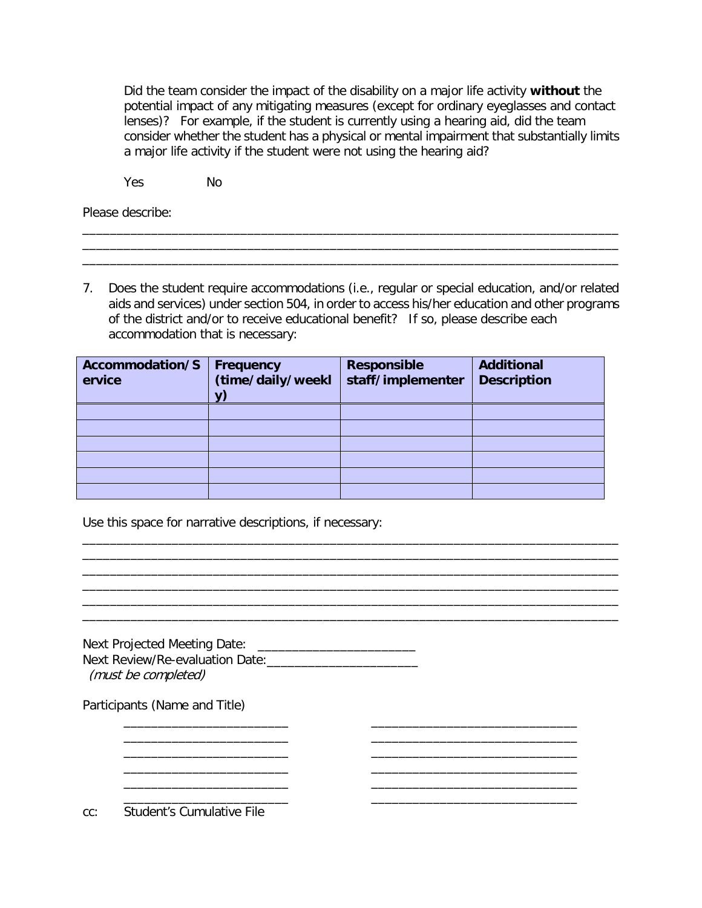Did the team consider the impact of the disability on a major life activity **without** the potential impact of any mitigating measures (except for ordinary eyeglasses and contact lenses)? For example, if the student is currently using a hearing aid, did the team consider whether the student has a physical or mental impairment that substantially limits a major life activity if the student were not using the hearing aid?

Yes No

Please describe:

7. Does the student require accommodations (i.e., regular or special education, and/or related aids and services) under section 504, in order to access his/her education and other programs of the district and/or to receive educational benefit? If so, please describe each accommodation that is necessary:

\_\_\_\_\_\_\_\_\_\_\_\_\_\_\_\_\_\_\_\_\_\_\_\_\_\_\_\_\_\_\_\_\_\_\_\_\_\_\_\_\_\_\_\_\_\_\_\_\_\_\_\_\_\_\_\_\_\_\_\_\_\_\_\_\_\_\_\_\_\_\_\_\_\_\_\_\_\_ \_\_\_\_\_\_\_\_\_\_\_\_\_\_\_\_\_\_\_\_\_\_\_\_\_\_\_\_\_\_\_\_\_\_\_\_\_\_\_\_\_\_\_\_\_\_\_\_\_\_\_\_\_\_\_\_\_\_\_\_\_\_\_\_\_\_\_\_\_\_\_\_\_\_\_\_\_\_

| Accommodation/S<br>ervice | Frequency<br>(time/daily/weekl | <b>Responsible</b><br>staff/implementer | <b>Additional</b><br><b>Description</b> |
|---------------------------|--------------------------------|-----------------------------------------|-----------------------------------------|
|                           |                                |                                         |                                         |
|                           |                                |                                         |                                         |
|                           |                                |                                         |                                         |
|                           |                                |                                         |                                         |
|                           |                                |                                         |                                         |
|                           |                                |                                         |                                         |

\_\_\_\_\_\_\_\_\_\_\_\_\_\_\_\_\_\_\_\_\_\_\_\_\_\_\_\_\_\_\_\_\_\_\_\_\_\_\_\_\_\_\_\_\_\_\_\_\_\_\_\_\_\_\_\_\_\_\_\_\_\_\_\_\_\_\_\_\_\_\_\_\_\_\_\_\_\_ \_\_\_\_\_\_\_\_\_\_\_\_\_\_\_\_\_\_\_\_\_\_\_\_\_\_\_\_\_\_\_\_\_\_\_\_\_\_\_\_\_\_\_\_\_\_\_\_\_\_\_\_\_\_\_\_\_\_\_\_\_\_\_\_\_\_\_\_\_\_\_\_\_\_\_\_\_\_

\_\_\_\_\_\_\_\_\_\_\_\_\_\_\_\_\_\_\_\_\_\_\_\_\_\_\_\_\_\_\_\_\_\_\_\_\_\_\_\_\_\_\_\_\_\_\_\_\_\_\_\_\_\_\_\_\_\_\_\_\_\_\_\_\_\_\_\_\_\_\_\_\_\_\_\_\_\_ \_\_\_\_\_\_\_\_\_\_\_\_\_\_\_\_\_\_\_\_\_\_\_\_\_\_\_\_\_\_\_\_\_\_\_\_\_\_\_\_\_\_\_\_\_\_\_\_\_\_\_\_\_\_\_\_\_\_\_\_\_\_\_\_\_\_\_\_\_\_\_\_\_\_\_\_\_\_ \_\_\_\_\_\_\_\_\_\_\_\_\_\_\_\_\_\_\_\_\_\_\_\_\_\_\_\_\_\_\_\_\_\_\_\_\_\_\_\_\_\_\_\_\_\_\_\_\_\_\_\_\_\_\_\_\_\_\_\_\_\_\_\_\_\_\_\_\_\_\_\_\_\_\_\_\_\_

\_\_\_\_\_\_\_\_\_\_\_\_\_\_\_\_\_\_\_\_\_\_\_\_ \_\_\_\_\_\_\_\_\_\_\_\_\_\_\_\_\_\_\_\_\_\_\_\_\_\_\_\_\_\_ \_\_\_\_\_\_\_\_\_\_\_\_\_\_\_\_\_\_\_\_\_\_\_\_ \_\_\_\_\_\_\_\_\_\_\_\_\_\_\_\_\_\_\_\_\_\_\_\_\_\_\_\_\_\_

\_\_\_\_\_\_\_\_\_\_\_\_\_\_\_\_\_\_\_\_\_\_\_\_ \_\_\_\_\_\_\_\_\_\_\_\_\_\_\_\_\_\_\_\_\_\_\_\_\_\_\_\_\_\_

\_\_\_\_\_\_\_\_\_\_\_\_\_\_\_\_\_\_\_\_\_\_\_\_ \_\_\_\_\_\_\_\_\_\_\_\_\_\_\_\_\_\_\_\_\_\_\_\_\_\_\_\_\_\_

Use this space for narrative descriptions, if necessary:

| Next Projected Meeting Date:    |  |
|---------------------------------|--|
| Next Review/Re-evaluation Date: |  |
| (must be completed)             |  |

\_\_\_\_\_\_\_\_\_\_\_\_\_\_\_\_\_\_\_\_\_\_\_\_ \_\_\_\_\_\_\_\_\_\_\_\_\_\_\_\_\_\_\_\_\_\_\_\_\_\_\_\_\_\_

Participants (Name and Title)

cc: Student's Cumulative File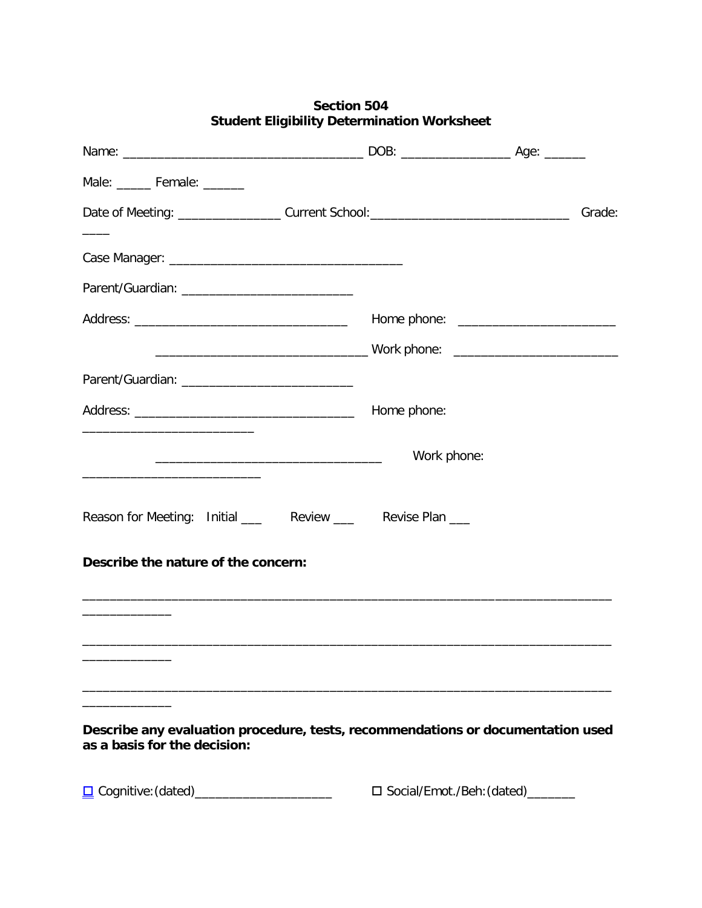| Male: ______ Female: ______                                                                                                   |                                   |  |
|-------------------------------------------------------------------------------------------------------------------------------|-----------------------------------|--|
|                                                                                                                               |                                   |  |
|                                                                                                                               |                                   |  |
|                                                                                                                               |                                   |  |
|                                                                                                                               |                                   |  |
|                                                                                                                               |                                   |  |
|                                                                                                                               | Home phone:                       |  |
| <u> 1989 - Johann John Stone, mars et al. 1989 - John Stone, mars et al. 1989 - John Stone, mars et al. 1989 - John Stone</u> | Work phone:                       |  |
| Reason for Meeting: Initial _____ Review _____ Revise Plan ___                                                                |                                   |  |
| Describe the nature of the concern:                                                                                           |                                   |  |
|                                                                                                                               |                                   |  |
|                                                                                                                               |                                   |  |
|                                                                                                                               |                                   |  |
| Describe any evaluation procedure, tests, recommendations or documentation used<br>as a basis for the decision:               |                                   |  |
| <u>D</u> Cognitive: (dated)________________________                                                                           | □ Social/Emot./Beh:(dated)_______ |  |

# **Section 504 Student Eligibility Determination Worksheet**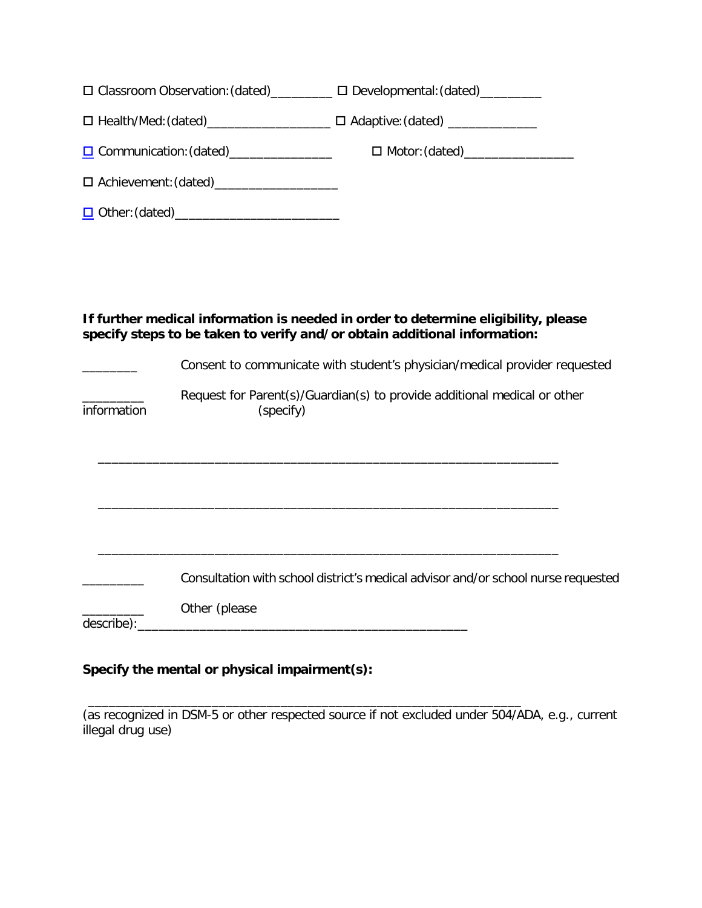|             |               | □ Classroom Observation: (dated)_________ □ Developmental: (dated)_________                                                                                     |
|-------------|---------------|-----------------------------------------------------------------------------------------------------------------------------------------------------------------|
|             |               | □ Health/Med: (dated)_________________________ □ Adaptive: (dated) _____________                                                                                |
|             |               | □ Communication: (dated)___________________    □ Motor: (dated)_________________                                                                                |
|             |               |                                                                                                                                                                 |
|             |               |                                                                                                                                                                 |
|             |               |                                                                                                                                                                 |
|             |               |                                                                                                                                                                 |
|             |               |                                                                                                                                                                 |
|             |               | If further medical information is needed in order to determine eligibility, please<br>specify steps to be taken to verify and/or obtain additional information: |
|             |               | Consent to communicate with student's physician/medical provider requested                                                                                      |
| information | (specify)     | Request for Parent(s)/Guardian(s) to provide additional medical or other                                                                                        |
|             |               |                                                                                                                                                                 |
|             |               |                                                                                                                                                                 |
|             |               |                                                                                                                                                                 |
|             |               |                                                                                                                                                                 |
|             |               | Consultation with school district's medical advisor and/or school nurse requested                                                                               |
| describe):  | Other (please |                                                                                                                                                                 |

# **Specify the mental or physical impairment(s):**

(as recognized in DSM-5 or other respected source if not excluded under 504/ADA, e.g., current illegal drug use)

\_\_\_\_\_\_\_\_\_\_\_\_\_\_\_\_\_\_\_\_\_\_\_\_\_\_\_\_\_\_\_\_\_\_\_\_\_\_\_\_\_\_\_\_\_\_\_\_\_\_\_\_\_\_\_\_\_\_\_\_\_\_\_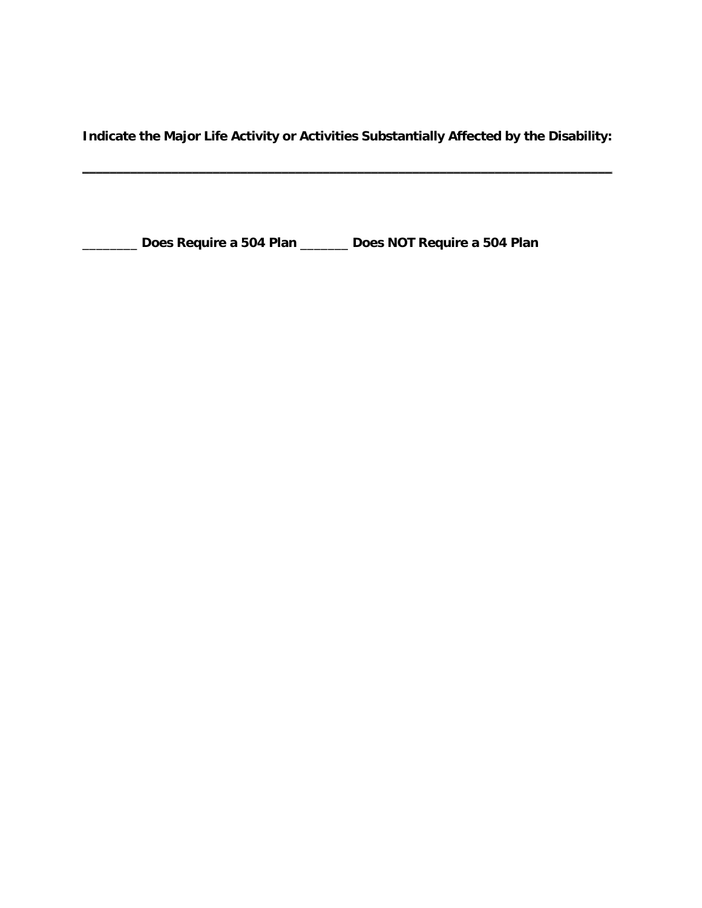**Indicate the Major Life Activity or Activities Substantially Affected by the Disability:**

\_\_\_\_\_\_\_\_\_\_\_\_\_\_\_\_\_\_\_\_\_\_\_\_\_\_\_\_\_\_\_\_\_\_\_\_\_\_\_\_\_\_\_\_\_\_\_\_\_\_\_\_\_\_\_\_\_\_\_\_\_\_\_\_\_\_\_\_\_\_\_\_\_\_\_\_\_

\_\_\_\_\_\_\_\_ **Does Require a 504 Plan** \_\_\_\_\_\_\_ **Does NOT Require a 504 Plan**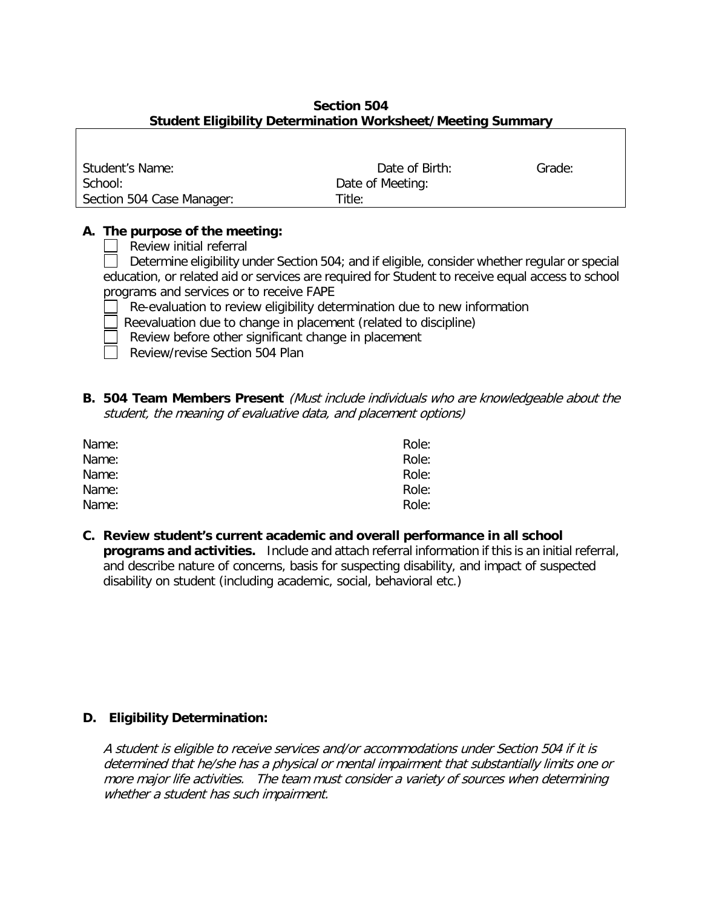# **Section 504 Student Eligibility Determination Worksheet/Meeting Summary**

| Student's Name:           | Date of Birth:   | Grade: |
|---------------------------|------------------|--------|
| School:                   | Date of Meeting: |        |
| Section 504 Case Manager: | Title:           |        |

# **A. The purpose of the meeting:**

| | Review initial referral

Determine eligibility under Section 504; and if eligible, consider whether regular or special education, or related aid or services are required for Student to receive equal access to school programs and services or to receive FAPE

- Re-evaluation to review eligibility determination due to new information
- Reevaluation due to change in placement (related to discipline)
- Review before other significant change in placement
- Review/revise Section 504 Plan
- **B. 504 Team Members Present** (Must include individuals who are knowledgeable about the student, the meaning of evaluative data, and placement options)

| Name: | Role: |
|-------|-------|
| Name: | Role: |
| Name: | Role: |
| Name: | Role: |
| Name: | Role: |

**C. Review student's current academic and overall performance in all school programs and activities.** Include and attach referral information if this is an initial referral, and describe nature of concerns, basis for suspecting disability, and impact of suspected disability on student (including academic, social, behavioral etc.)

## **D. Eligibility Determination:**

A student is eligible to receive services and/or accommodations under Section 504 if it is determined that he/she has a physical or mental impairment that substantially limits one or more major life activities. The team must consider a variety of sources when determining whether a student has such impairment.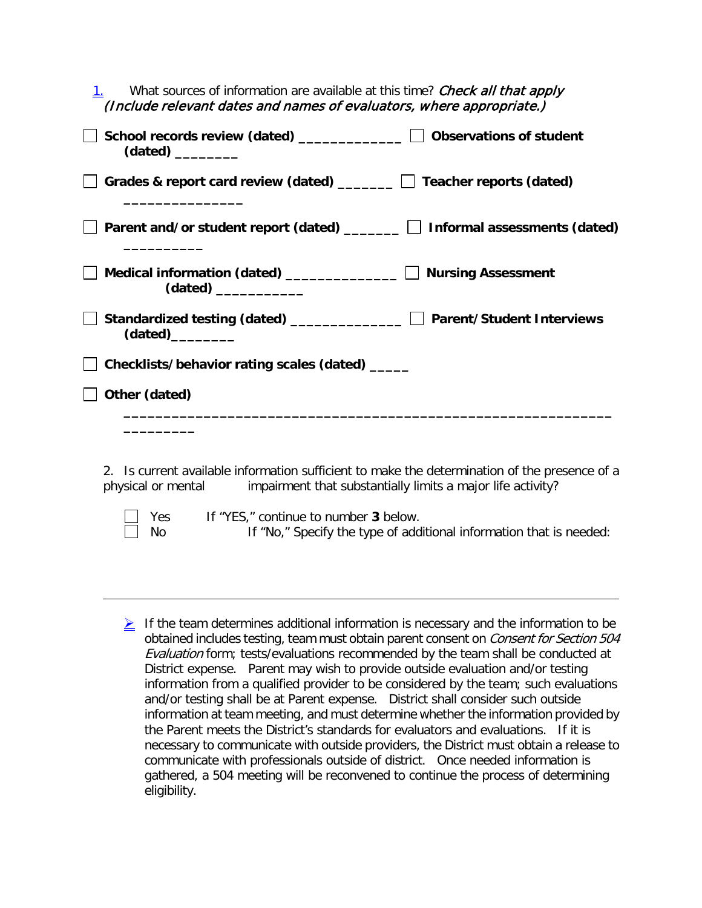| What sources of information are available at this time? Check all that apply<br>(Include relevant dates and names of evaluators, where appropriate.) |                           |
|------------------------------------------------------------------------------------------------------------------------------------------------------|---------------------------|
| School records review (dated) _____________   Observations of student                                                                                |                           |
| Grades & report card review (dated) $\Box$ Teacher reports (dated)                                                                                   |                           |
| Parent and/or student report (dated) $\Box$ $\Box$ Informal assessments (dated)                                                                      |                           |
| Medical information (dated) $\frac{1}{\sqrt{1-\frac{1}{2}}\cdot\frac{1}{\sqrt{1-\frac{1}{2}}}}$<br>$(data)$ $\qquad \qquad \qquad$                   | <b>Nursing Assessment</b> |
| Standardized testing (dated) _____________   Parent/Student Interviews                                                                               |                           |
| Checklists/behavior rating scales (dated) _____                                                                                                      |                           |
| Other (dated)                                                                                                                                        |                           |
|                                                                                                                                                      |                           |

2. Is current available information sufficient to make the determination of the presence of a physical or mental impairment that substantially limits a major life activity?

Yes If "YES," continue to number 3 below. No If "No," Specify the type of additional information that is needed:

 $\geq$  If the team determines additional information is necessary and the information to be obtained includes testing, team must obtain parent consent on Consent for Section 504 Evaluation form; tests/evaluations recommended by the team shall be conducted at District expense. Parent may wish to provide outside evaluation and/or testing information from a qualified provider to be considered by the team; such evaluations and/or testing shall be at Parent expense. District shall consider such outside information at team meeting, and must determine whether the information provided by the Parent meets the District's standards for evaluators and evaluations. If it is necessary to communicate with outside providers, the District must obtain a release to communicate with professionals outside of district. Once needed information is gathered, a 504 meeting will be reconvened to continue the process of determining eligibility.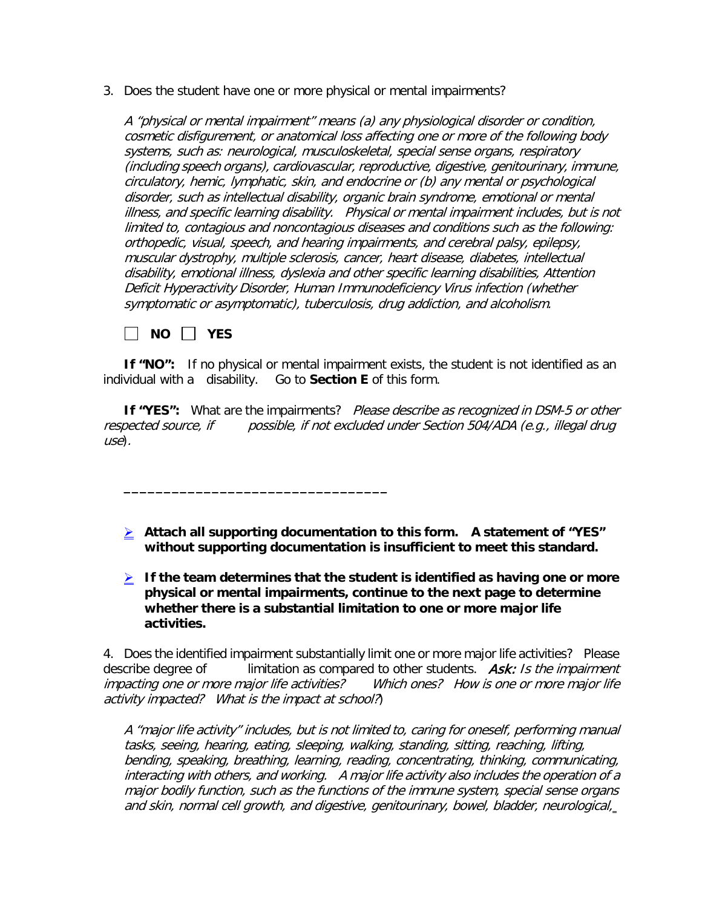3. Does the student have one or more physical or mental impairments?

A "physical or mental impairment" means (a) any physiological disorder or condition, cosmetic disfigurement, or anatomical loss affecting one or more of the following body systems, such as: neurological, musculoskeletal, special sense organs, respiratory (including speech organs), cardiovascular, reproductive, digestive, genitourinary, immune, circulatory, hemic, lymphatic, skin, and endocrine or (b) any mental or psychological disorder, such as intellectual disability, organic brain syndrome, emotional or mental illness, and specific learning disability. Physical or mental impairment includes, but is not limited to, contagious and noncontagious diseases and conditions such as the following: orthopedic, visual, speech, and hearing impairments, and cerebral palsy, epilepsy, muscular dystrophy, multiple sclerosis, cancer, heart disease, diabetes, intellectual disability, emotional illness, dyslexia and other specific learning disabilities, Attention Deficit Hyperactivity Disorder, Human Immunodeficiency Virus infection (whether symptomatic or asymptomatic), tuberculosis, drug addiction, and alcoholism.

**NO YES**

**\_\_\_\_\_\_\_\_\_\_\_\_\_\_\_\_\_\_\_\_\_\_\_\_\_\_\_\_\_\_\_\_\_**

**If "NO":** If no physical or mental impairment exists, the student is not identified as an individual with a disability. Go to **Section E** of this form.

**If "YES":** What are the impairments? Please describe as recognized in DSM-5 or other respected source, if possible, if not excluded under Section 504/ADA (e.g., illegal drug use).

- **Attach all supporting documentation to this form. A statement of "YES" without supporting documentation is insufficient to meet this standard.**
- **If the team determines that the student is identified as having one or more physical or mental impairments, continue to the next page to determine whether there is a substantial limitation to one or more major life activities.**

4. Does the identified impairment substantially limit one or more major life activities? Please describe degree of limitation as compared to other students.  $Ask: Is the impairment$ impacting one or more major life activities? Which ones? How is one or more major life activity impacted? What is the impact at school?)

A "major life activity" includes, but is not limited to, caring for oneself, performing manual tasks, seeing, hearing, eating, sleeping, walking, standing, sitting, reaching, lifting, bending, speaking, breathing, learning, reading, concentrating, thinking, communicating, interacting with others, and working. A major life activity also includes the operation of a major bodily function, such as the functions of the immune system, special sense organs and skin, normal cell growth, and digestive, genitourinary, bowel, bladder, neurological,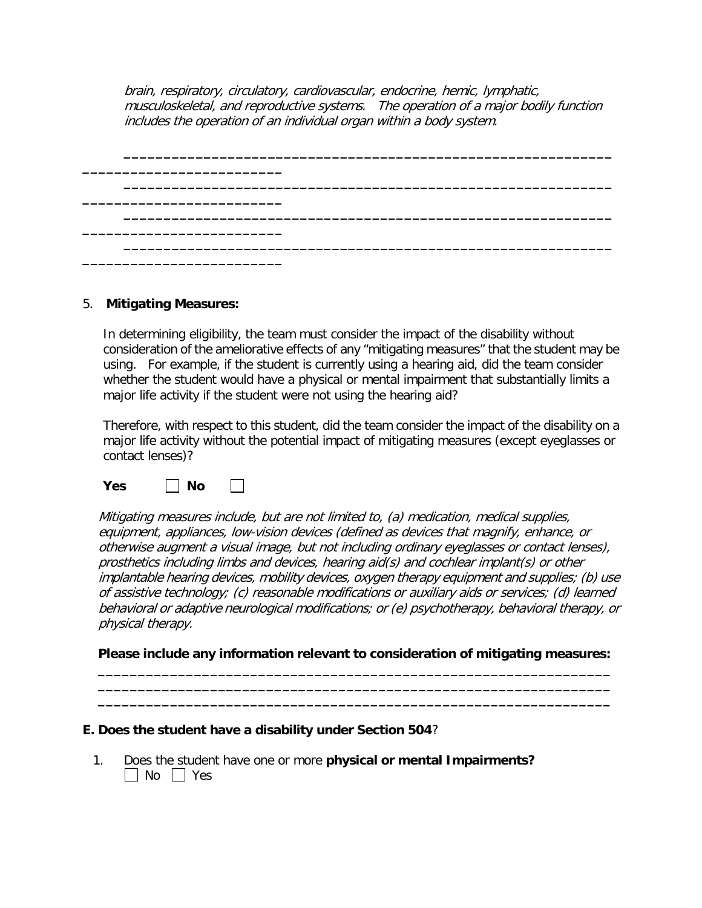brain, respiratory, circulatory, cardiovascular, endocrine, hemic, lymphatic, musculoskeletal, and reproductive systems. The operation of a major bodily function includes the operation of an individual organ within a body system.

| المستنب المستنب المستنب المستنب المستنب المستنب المستنب المستنب المستنب المستنب المستنب المستنب المستنب | والمسائسين المساهمة المسائسين المسائسين المسائسين المسائسين المسائسين المسائسين المسائسين أسماء المسائسين لمسا |  |
|---------------------------------------------------------------------------------------------------------|----------------------------------------------------------------------------------------------------------------|--|
|                                                                                                         |                                                                                                                |  |
| أحصاها تساهدها مستحدثهم المستحدث المتحافظ المناصر المستحدث المستحدث المستحدث المستحدث                   |                                                                                                                |  |
|                                                                                                         |                                                                                                                |  |

#### 5. **Mitigating Measures:**

In determining eligibility, the team must consider the impact of the disability without consideration of the ameliorative effects of any "mitigating measures" that the student may be using. For example, if the student is currently using a hearing aid, did the team consider whether the student would have a physical or mental impairment that substantially limits a major life activity if the student were not using the hearing aid?

Therefore, with respect to this student, did the team consider the impact of the disability on a major life activity without the potential impact of mitigating measures (except eyeglasses or contact lenses)?

**Yes No**  $\sim$ 

Mitigating measures include, but are not limited to, (a) medication, medical supplies, equipment, appliances, low-vision devices (defined as devices that magnify, enhance, or otherwise augment a visual image, but not including ordinary eyeglasses or contact lenses), prosthetics including limbs and devices, hearing aid(s) and cochlear implant(s) or other implantable hearing devices, mobility devices, oxygen therapy equipment and supplies; (b) use of assistive technology; (c) reasonable modifications or auxiliary aids or services; (d) learned behavioral or adaptive neurological modifications; or (e) psychotherapy, behavioral therapy, or physical therapy.

#### **Please include any information relevant to consideration of mitigating measures: \_\_\_\_\_\_\_\_\_\_\_\_\_\_\_\_\_\_\_\_\_\_\_\_\_\_\_\_\_\_\_\_\_\_\_\_\_\_\_\_\_\_\_\_\_\_\_\_\_\_\_\_\_\_\_\_\_\_\_\_\_\_\_\_**

**\_\_\_\_\_\_\_\_\_\_\_\_\_\_\_\_\_\_\_\_\_\_\_\_\_\_\_\_\_\_\_\_\_\_\_\_\_\_\_\_\_\_\_\_\_\_\_\_\_\_\_\_\_\_\_\_\_\_\_\_\_\_\_\_ \_\_\_\_\_\_\_\_\_\_\_\_\_\_\_\_\_\_\_\_\_\_\_\_\_\_\_\_\_\_\_\_\_\_\_\_\_\_\_\_\_\_\_\_\_\_\_\_\_\_\_\_\_\_\_\_\_\_\_\_\_\_\_\_**

#### **E. Does the student have a disability under Section 504**?

1. Does the student have one or more **physical or mental Impairments?**  $\Box$  No  $\Box$  Yes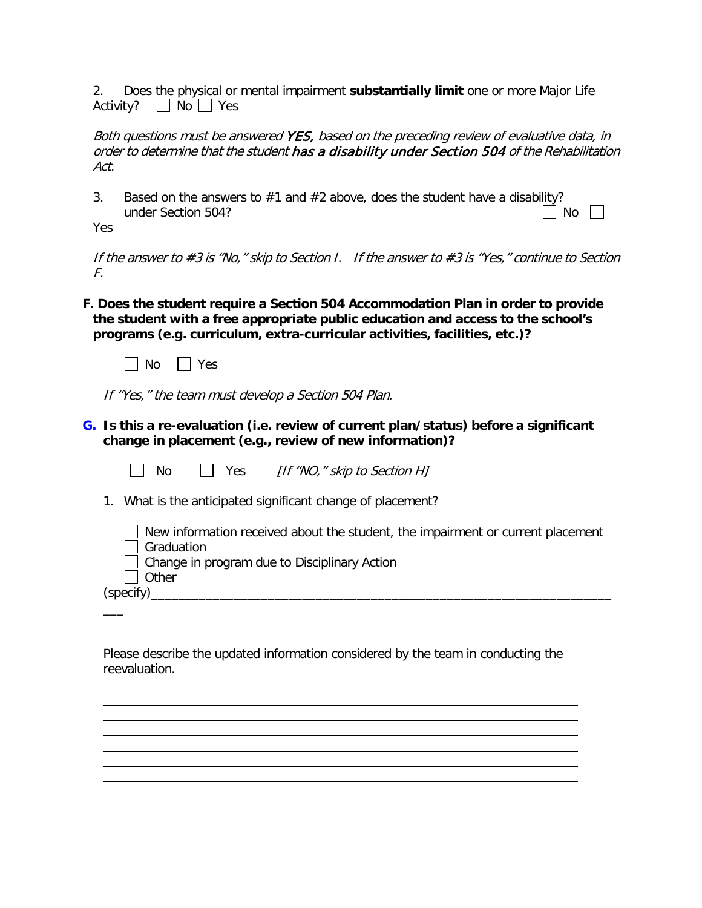2. Does the physical or mental impairment **substantially limit** one or more Major Life Activity?  $\Box$  No  $\Box$  Yes

Both questions must be answered YES, based on the preceding review of evaluative data, in order to determine that the student has a disability under Section 504 of the Rehabilitation Act.

3. Based on the answers to #1 and #2 above, does the student have a disability?<br>under Section 504? under Section 504?

Yes

If the answer to #3 is "No," skip to Section I. If the answer to #3 is "Yes," continue to Section F.

**F. Does the student require a Section 504 Accommodation Plan in order to provide the student with a free appropriate public education and access to the school's programs (e.g. curriculum, extra-curricular activities, facilities, etc.)?**



If "Yes," the team must develop a Section 504 Plan.

**G. Is this a re-evaluation (i.e. review of current plan/status) before a significant change in placement (e.g., review of new information)?**

| No.                 | Yes [If "NO," skip to Section H]                                                                                                |
|---------------------|---------------------------------------------------------------------------------------------------------------------------------|
|                     | 1. What is the anticipated significant change of placement?                                                                     |
| Graduation<br>Other | New information received about the student, the impairment or current placement<br>Change in program due to Disciplinary Action |
| (specify)           |                                                                                                                                 |
|                     |                                                                                                                                 |

Please describe the updated information considered by the team in conducting the reevaluation.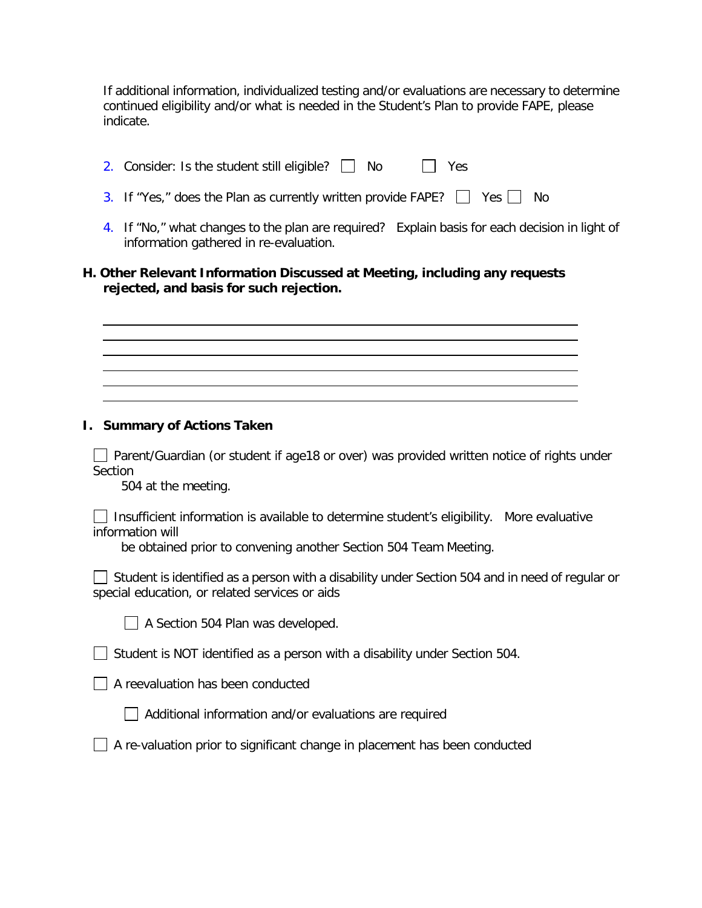If additional information, individualized testing and/or evaluations are necessary to determine continued eligibility and/or what is needed in the Student's Plan to provide FAPE, please indicate.

| 2. Consider: Is the student still eligible? $\Box$ No |  | $\Box$ Yes |
|-------------------------------------------------------|--|------------|
|                                                       |  |            |

- 3. If "Yes," does the Plan as currently written provide FAPE?  $\Box$  Yes  $\Box$  No
- 4. If "No," what changes to the plan are required? Explain basis for each decision in light of information gathered in re-evaluation.

# **H. Other Relevant Information Discussed at Meeting, including any requests rejected, and basis for such rejection.**

 $\Box$  Parent/Guardian (or student if age18 or over) was provided written notice of rights under

Section

504 at the meeting.

**I. Summary of Actions Taken**

| □ Insufficient information is available to determine student's eligibility. More evaluative |  |
|---------------------------------------------------------------------------------------------|--|
| information will                                                                            |  |

be obtained prior to convening another Section 504 Team Meeting.

Student is identified as a person with a disability under Section 504 and in need of regular or special education, or related services or aids



A Section 504 Plan was developed.

 $\Box$  Student is NOT identified as a person with a disability under Section 504.

 $\Box$  A reevaluation has been conducted

 $\Box$  Additional information and/or evaluations are required

|  | A re-valuation prior to significant change in placement has been conducted |  |  |  |
|--|----------------------------------------------------------------------------|--|--|--|
|  |                                                                            |  |  |  |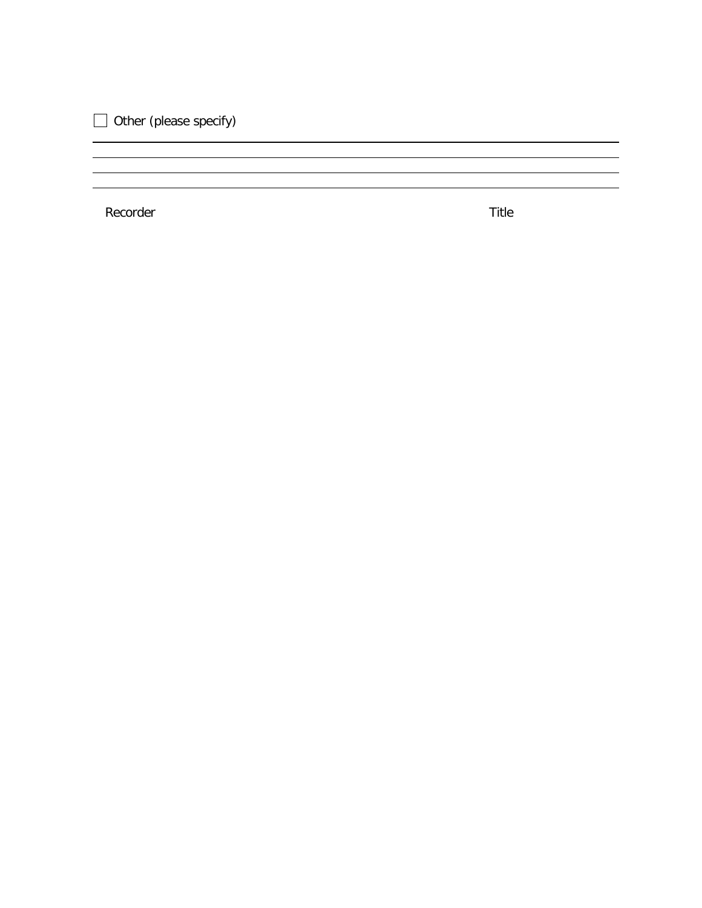$\Box$  Other (please specify)

Recorder Title

<u> 1989 - Johann Stoff, amerikansk politiker (d. 1989)</u>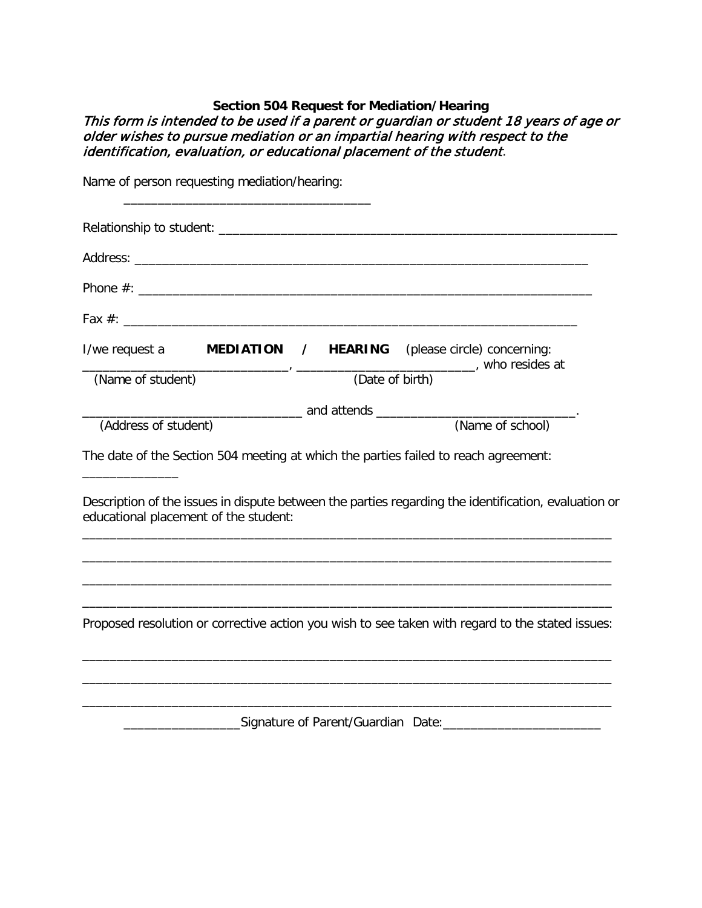# **Section 504 Request for Mediation/Hearing** This form is intended to be used if a parent or guardian or student 18 years of age or older wishes to pursue mediation or an impartial hearing with respect to the identification, evaluation, or educational placement of the student.

|                      | Name of person requesting mediation/hearing: |                     |                                                                                                      |  |
|----------------------|----------------------------------------------|---------------------|------------------------------------------------------------------------------------------------------|--|
|                      |                                              |                     |                                                                                                      |  |
|                      |                                              |                     |                                                                                                      |  |
|                      |                                              |                     |                                                                                                      |  |
|                      |                                              |                     |                                                                                                      |  |
| I/we request a       |                                              | MEDIATION / HEARING | (please circle) concerning:                                                                          |  |
| (Name of student)    |                                              |                     | (Date of birth) who resides at                                                                       |  |
|                      |                                              |                     |                                                                                                      |  |
| (Address of student) |                                              |                     | (Name of school)                                                                                     |  |
|                      |                                              |                     | The date of the Section 504 meeting at which the parties failed to reach agreement:                  |  |
|                      | educational placement of the student:        |                     | Description of the issues in dispute between the parties regarding the identification, evaluation or |  |
|                      |                                              |                     |                                                                                                      |  |
|                      |                                              |                     |                                                                                                      |  |
|                      |                                              |                     | Proposed resolution or corrective action you wish to see taken with regard to the stated issues:     |  |
|                      |                                              |                     |                                                                                                      |  |
|                      |                                              |                     |                                                                                                      |  |

\_\_\_\_\_\_\_\_\_\_\_\_\_\_\_\_\_Signature of Parent/Guardian Date:\_\_\_\_\_\_\_\_\_\_\_\_\_\_\_\_\_\_\_\_\_\_\_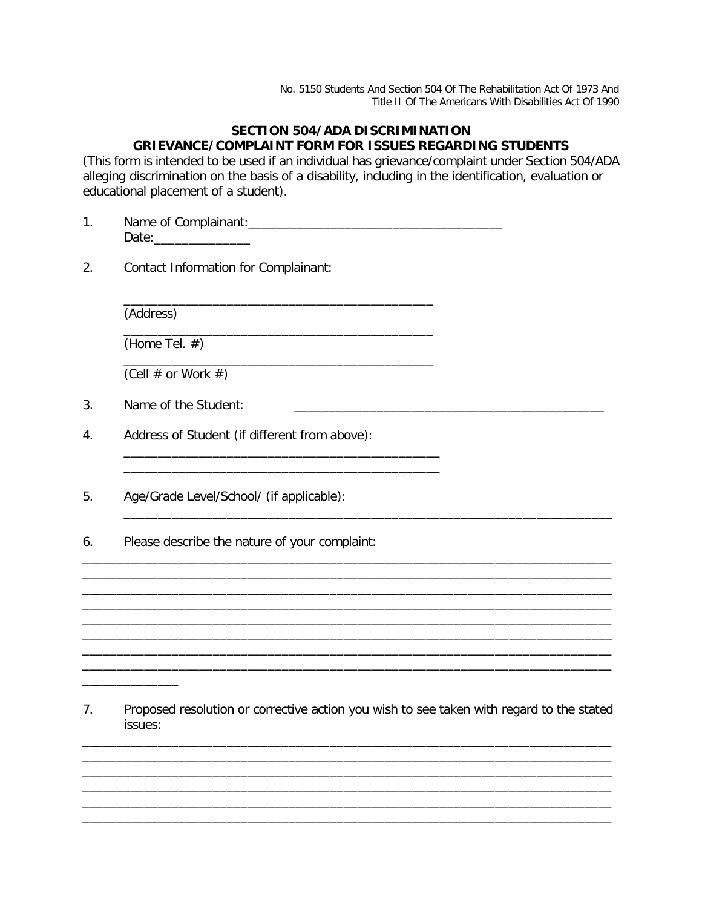No. 5150 Students And Section 504 Of The Rehabilitation Act Of 1973 And Title II Of The Americans With Disabilities Act Of 1990

# **SECTION 504/ADA DISCRIMINATION GRIEVANCE/COMPLAINT FORM FOR ISSUES REGARDING STUDENTS**

(This form is intended to be used if an individual has grievance/complaint under Section 504/ADA alleging discrimination on the basis of a disability, including in the identification, evaluation or educational placement of a student).

1. Name of Complainant:\_\_\_\_\_\_\_\_\_\_\_\_\_\_\_\_\_\_\_\_\_\_\_\_\_\_\_\_\_\_\_\_\_\_\_\_\_ Date:\_\_\_\_\_\_\_\_\_\_\_\_\_\_

\_\_\_\_\_\_\_\_\_\_\_\_\_\_\_\_\_\_\_\_\_\_\_\_\_\_\_\_\_\_\_\_\_\_\_\_\_\_\_\_\_\_\_\_\_

\_\_\_\_\_\_\_\_\_\_\_\_\_\_\_\_\_\_\_\_\_\_\_\_\_\_\_\_\_\_\_\_\_\_\_\_\_\_\_\_\_\_\_\_\_

\_\_\_\_\_\_\_\_\_\_\_\_\_\_\_\_\_\_\_\_\_\_\_\_\_\_\_\_\_\_\_\_\_\_\_\_\_\_\_\_\_\_\_\_\_

\_\_\_\_\_\_\_\_\_\_\_\_\_\_\_\_\_\_\_\_\_\_\_\_\_\_\_\_\_\_\_\_\_\_\_\_\_\_\_\_\_\_\_\_\_\_ \_\_\_\_\_\_\_\_\_\_\_\_\_\_\_\_\_\_\_\_\_\_\_\_\_\_\_\_\_\_\_\_\_\_\_\_\_\_\_\_\_\_\_\_\_\_

2. Contact Information for Complainant:

(Address)

\_\_\_\_\_\_\_\_\_\_\_\_\_\_

(Home Tel. #)

(Cell  $\#$  or Work  $\#$ )

3. Name of the Student:

4. Address of Student (if different from above):

- 5. Age/Grade Level/School/ (if applicable):
- 6. Please describe the nature of your complaint:

7. Proposed resolution or corrective action you wish to see taken with regard to the stated issues:

\_\_\_\_\_\_\_\_\_\_\_\_\_\_\_\_\_\_\_\_\_\_\_\_\_\_\_\_\_\_\_\_\_\_\_\_\_\_\_\_\_\_\_\_\_\_\_\_\_\_\_\_\_\_\_\_\_\_\_\_\_\_\_\_\_\_\_\_\_\_\_\_\_\_\_\_\_ \_\_\_\_\_\_\_\_\_\_\_\_\_\_\_\_\_\_\_\_\_\_\_\_\_\_\_\_\_\_\_\_\_\_\_\_\_\_\_\_\_\_\_\_\_\_\_\_\_\_\_\_\_\_\_\_\_\_\_\_\_\_\_\_\_\_\_\_\_\_\_\_\_\_\_\_\_ \_\_\_\_\_\_\_\_\_\_\_\_\_\_\_\_\_\_\_\_\_\_\_\_\_\_\_\_\_\_\_\_\_\_\_\_\_\_\_\_\_\_\_\_\_\_\_\_\_\_\_\_\_\_\_\_\_\_\_\_\_\_\_\_\_\_\_\_\_\_\_\_\_\_\_\_\_ \_\_\_\_\_\_\_\_\_\_\_\_\_\_\_\_\_\_\_\_\_\_\_\_\_\_\_\_\_\_\_\_\_\_\_\_\_\_\_\_\_\_\_\_\_\_\_\_\_\_\_\_\_\_\_\_\_\_\_\_\_\_\_\_\_\_\_\_\_\_\_\_\_\_\_\_\_ \_\_\_\_\_\_\_\_\_\_\_\_\_\_\_\_\_\_\_\_\_\_\_\_\_\_\_\_\_\_\_\_\_\_\_\_\_\_\_\_\_\_\_\_\_\_\_\_\_\_\_\_\_\_\_\_\_\_\_\_\_\_\_\_\_\_\_\_\_\_\_\_\_\_\_\_\_ \_\_\_\_\_\_\_\_\_\_\_\_\_\_\_\_\_\_\_\_\_\_\_\_\_\_\_\_\_\_\_\_\_\_\_\_\_\_\_\_\_\_\_\_\_\_\_\_\_\_\_\_\_\_\_\_\_\_\_\_\_\_\_\_\_\_\_\_\_\_\_\_\_\_\_\_\_

\_\_\_\_\_\_\_\_\_\_\_\_\_\_\_\_\_\_\_\_\_\_\_\_\_\_\_\_\_\_\_\_\_\_\_\_\_\_\_\_\_\_\_\_\_\_\_\_\_\_\_\_\_\_\_\_\_\_\_\_\_\_\_\_\_\_\_\_\_\_\_\_\_\_\_\_\_

\_\_\_\_\_\_\_\_\_\_\_\_\_\_\_\_\_\_\_\_\_\_\_\_\_\_\_\_\_\_\_\_\_\_\_\_\_\_\_\_\_\_\_\_\_\_\_\_\_\_\_\_\_\_\_\_\_\_\_\_\_\_\_\_\_\_\_\_\_\_\_\_\_\_\_\_\_

\_\_\_\_\_\_\_\_\_\_\_\_\_\_\_\_\_\_\_\_\_\_\_\_\_\_\_\_\_\_\_\_\_\_\_\_\_\_\_\_\_\_\_\_\_\_\_\_\_\_\_\_\_\_\_\_\_\_\_\_\_\_\_\_\_\_\_\_\_\_\_\_\_\_\_\_\_ \_\_\_\_\_\_\_\_\_\_\_\_\_\_\_\_\_\_\_\_\_\_\_\_\_\_\_\_\_\_\_\_\_\_\_\_\_\_\_\_\_\_\_\_\_\_\_\_\_\_\_\_\_\_\_\_\_\_\_\_\_\_\_\_\_\_\_\_\_\_\_\_\_\_\_\_\_ \_\_\_\_\_\_\_\_\_\_\_\_\_\_\_\_\_\_\_\_\_\_\_\_\_\_\_\_\_\_\_\_\_\_\_\_\_\_\_\_\_\_\_\_\_\_\_\_\_\_\_\_\_\_\_\_\_\_\_\_\_\_\_\_\_\_\_\_\_\_\_\_\_\_\_\_\_ \_\_\_\_\_\_\_\_\_\_\_\_\_\_\_\_\_\_\_\_\_\_\_\_\_\_\_\_\_\_\_\_\_\_\_\_\_\_\_\_\_\_\_\_\_\_\_\_\_\_\_\_\_\_\_\_\_\_\_\_\_\_\_\_\_\_\_\_\_\_\_\_\_\_\_\_\_

\_\_\_\_\_\_\_\_\_\_\_\_\_\_\_\_\_\_\_\_\_\_\_\_\_\_\_\_\_\_\_\_\_\_\_\_\_\_\_\_\_\_\_\_\_\_\_\_\_\_\_\_\_\_\_\_\_\_\_\_\_\_\_\_\_\_\_\_\_\_\_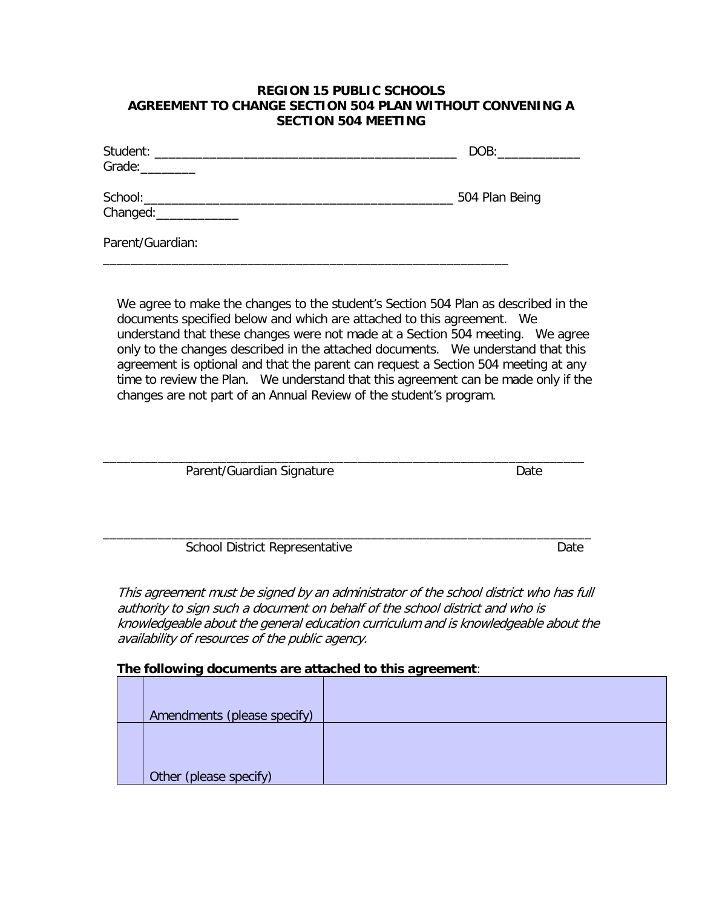#### **REGION 15 PUBLIC SCHOOLS AGREEMENT TO CHANGE SECTION 504 PLAN WITHOUT CONVENING A SECTION 504 MEETING**

| Student: New York Student Student Student Student Student Student Student Student Student Student Student Student Student Student Student Student Student Student Student Student Student Student Student Student Student Stud | DOB:           |
|--------------------------------------------------------------------------------------------------------------------------------------------------------------------------------------------------------------------------------|----------------|
| Changed: ______________                                                                                                                                                                                                        | 504 Plan Being |
| Parent/Guardian:                                                                                                                                                                                                               |                |

\_\_\_\_\_\_\_\_\_\_\_\_\_\_\_\_\_\_\_\_\_\_\_\_\_\_\_\_\_\_\_\_\_\_\_\_\_\_\_\_\_\_\_\_\_\_\_\_\_\_\_\_\_\_\_\_\_\_\_

We agree to make the changes to the student's Section 504 Plan as described in the documents specified below and which are attached to this agreement. We understand that these changes were not made at a Section 504 meeting. We agree only to the changes described in the attached documents. We understand that this agreement is optional and that the parent can request a Section 504 meeting at any time to review the Plan. We understand that this agreement can be made only if the changes are not part of an Annual Review of the student's program.

| Parent/Guardian Signature             | Date |
|---------------------------------------|------|
| <b>School District Representative</b> | Date |

This agreement must be signed by an administrator of the school district who has full authority to sign such a document on behalf of the school district and who is knowledgeable about the general education curriculum and is knowledgeable about the availability of resources of the public agency.

#### **The following documents are attached to this agreement**:

| Amendments (please specify) |  |
|-----------------------------|--|
|                             |  |
|                             |  |
|                             |  |
| Other (please specify)      |  |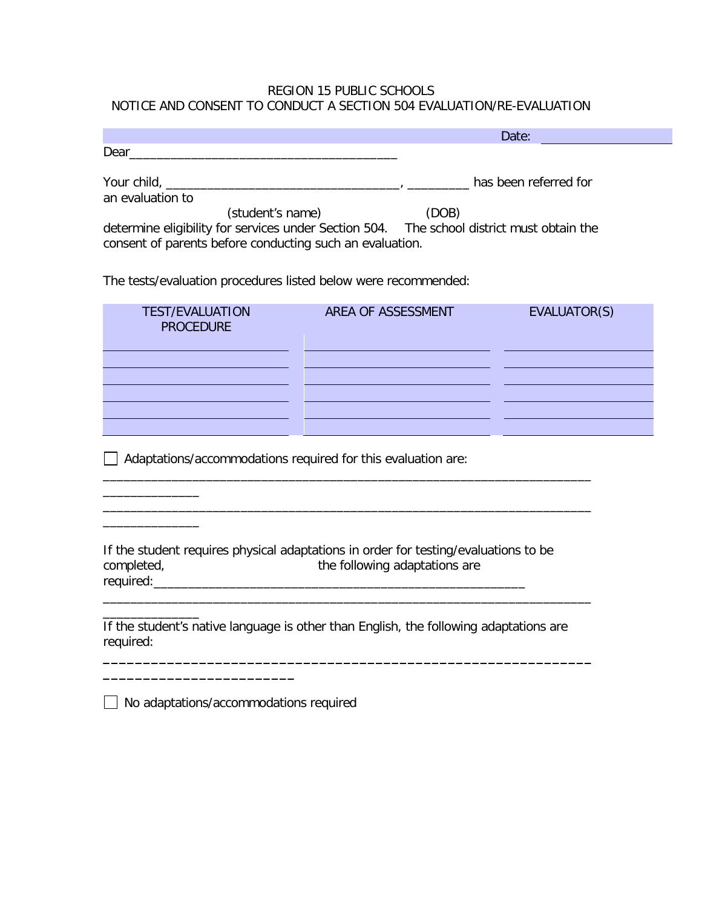### REGION 15 PUBLIC SCHOOLS NOTICE AND CONSENT TO CONDUCT A SECTION 504 EVALUATION/RE-EVALUATION

|                                                                                                                                                       | Date:                 |
|-------------------------------------------------------------------------------------------------------------------------------------------------------|-----------------------|
| Dear                                                                                                                                                  |                       |
| an evaluation to                                                                                                                                      | has been referred for |
| (student's name)                                                                                                                                      | (DOB)                 |
| determine eligibility for services under Section 504. The school district must obtain the<br>consent of parents before conducting such an evaluation. |                       |
|                                                                                                                                                       |                       |

The tests/evaluation procedures listed below were recommended:

| <b>TEST/EVALUATION</b><br><b>PROCEDURE</b> | AREA OF ASSESSMENT | EVALUATOR(S) |
|--------------------------------------------|--------------------|--------------|
|                                            |                    |              |
|                                            |                    |              |
|                                            |                    |              |
|                                            |                    |              |

 $\frac{1}{2}$  ,  $\frac{1}{2}$  ,  $\frac{1}{2}$  ,  $\frac{1}{2}$  ,  $\frac{1}{2}$  ,  $\frac{1}{2}$  ,  $\frac{1}{2}$  ,  $\frac{1}{2}$  ,  $\frac{1}{2}$  ,  $\frac{1}{2}$  ,  $\frac{1}{2}$  ,  $\frac{1}{2}$  ,  $\frac{1}{2}$  ,  $\frac{1}{2}$  ,  $\frac{1}{2}$  ,  $\frac{1}{2}$  ,  $\frac{1}{2}$  ,  $\frac{1}{2}$  ,  $\frac{1$ 

Adaptations/accommodations required for this evaluation are:

If the student requires physical adaptations in order for testing/evaluations to be completed, the following adaptations are required:\_\_\_\_\_\_\_\_\_\_\_\_\_\_\_\_\_\_\_\_\_\_\_\_\_\_\_\_\_\_\_\_\_\_\_\_\_\_\_\_\_\_\_\_\_\_\_\_\_\_\_\_\_\_

\_\_\_\_\_\_\_\_\_\_\_\_\_\_\_\_\_\_\_\_\_\_\_\_\_\_\_\_\_\_\_\_\_\_\_\_\_\_\_\_\_\_\_\_\_\_\_\_\_\_\_\_\_\_\_\_\_\_\_\_\_\_\_\_\_\_\_\_\_\_\_

\_\_\_\_\_\_\_\_\_\_\_\_\_\_\_\_\_\_\_\_\_\_\_\_\_\_\_\_\_\_\_\_\_\_\_\_\_\_\_\_\_\_\_\_\_\_\_\_\_\_\_\_\_\_\_\_\_\_\_\_\_\_\_\_\_\_\_\_\_\_\_

**\_\_\_\_\_\_\_\_\_\_\_\_\_\_\_\_\_\_\_\_\_\_\_\_\_\_\_\_\_\_\_\_\_\_\_\_\_\_\_\_\_\_\_\_\_\_\_\_\_\_\_\_\_\_\_\_\_\_\_\_\_**

If the student's native language is other than English, the following adaptations are required:

|  | $\Box$ No adaptations/accommodations required |  |
|--|-----------------------------------------------|--|

**\_\_\_\_\_\_\_\_\_\_\_\_\_\_\_\_\_\_\_\_\_\_\_\_**

 $\overline{\phantom{a}}$ 

 $\overline{\phantom{a}}$ 

\_\_\_\_\_\_\_\_\_\_\_\_\_\_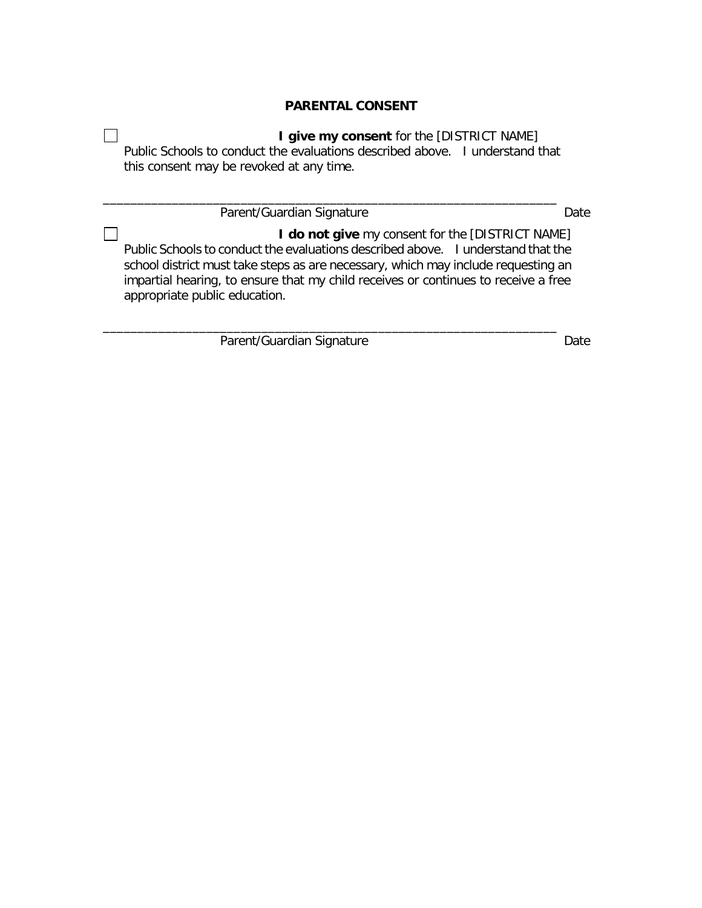# **PARENTAL CONSENT**

**I give my consent** for the [DISTRICT NAME] Public Schools to conduct the evaluations described above. I understand that this consent may be revoked at any time.

\_\_\_\_\_\_\_\_\_\_\_\_\_\_\_\_\_\_\_\_\_\_\_\_\_\_\_\_\_\_\_\_\_\_\_\_\_\_\_\_\_\_\_\_\_\_\_\_\_\_\_\_\_\_\_\_\_\_\_\_\_\_\_\_\_\_

\_\_\_\_\_\_\_\_\_\_\_\_\_\_\_\_\_\_\_\_\_\_\_\_\_\_\_\_\_\_\_\_\_\_\_\_\_\_\_\_\_\_\_\_\_\_\_\_\_\_\_\_\_\_\_\_\_\_\_\_\_\_\_\_\_\_

Parent/Guardian Signature Date

**I do not give** my consent for the [DISTRICT NAME] Public Schools to conduct the evaluations described above. I understand that the school district must take steps as are necessary, which may include requesting an impartial hearing, to ensure that my child receives or continues to receive a free appropriate public education.

Parent/Guardian Signature Date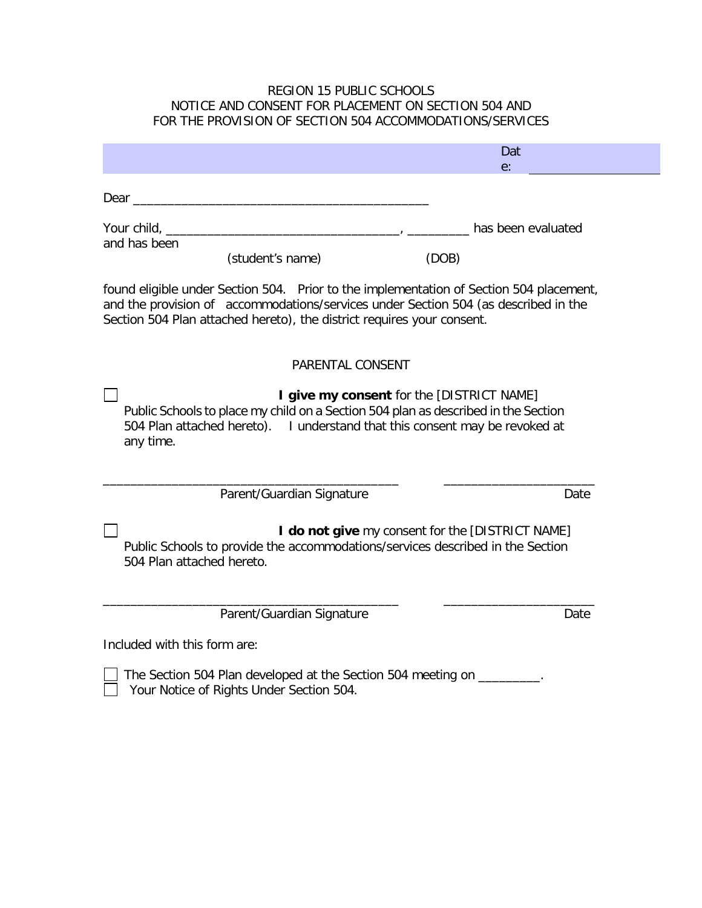## REGION 15 PUBLIC SCHOOLS NOTICE AND CONSENT FOR PLACEMENT ON SECTION 504 AND FOR THE PROVISION OF SECTION 504 ACCOMMODATIONS/SERVICES

|                                                                                                                                                                                                                                                          | Dat<br>$e$ :                                     |
|----------------------------------------------------------------------------------------------------------------------------------------------------------------------------------------------------------------------------------------------------------|--------------------------------------------------|
| Dear experience and the contract of the contract of the contract of the contract of the contract of the contract of the contract of the contract of the contract of the contract of the contract of the contract of the contra                           |                                                  |
|                                                                                                                                                                                                                                                          | has been evaluated                               |
| and has been<br>(student's name)                                                                                                                                                                                                                         | (DOB)                                            |
| found eligible under Section 504. Prior to the implementation of Section 504 placement,<br>and the provision of accommodations/services under Section 504 (as described in the<br>Section 504 Plan attached hereto), the district requires your consent. |                                                  |
| PARENTAL CONSENT                                                                                                                                                                                                                                         |                                                  |
| Public Schools to place my child on a Section 504 plan as described in the Section<br>504 Plan attached hereto). I understand that this consent may be revoked at<br>any time.                                                                           | I give my consent for the [DISTRICT NAME]        |
| Parent/Guardian Signature                                                                                                                                                                                                                                | Date                                             |
| Public Schools to provide the accommodations/services described in the Section<br>504 Plan attached hereto.                                                                                                                                              | I do not give my consent for the [DISTRICT NAME] |
| Parent/Guardian Signature                                                                                                                                                                                                                                | Date                                             |
| Included with this form are:                                                                                                                                                                                                                             |                                                  |
| The Section 504 Plan developed at the Section 504 meeting on                                                                                                                                                                                             |                                                  |

Your Notice of Rights Under Section 504.

 $\mathsf{L}$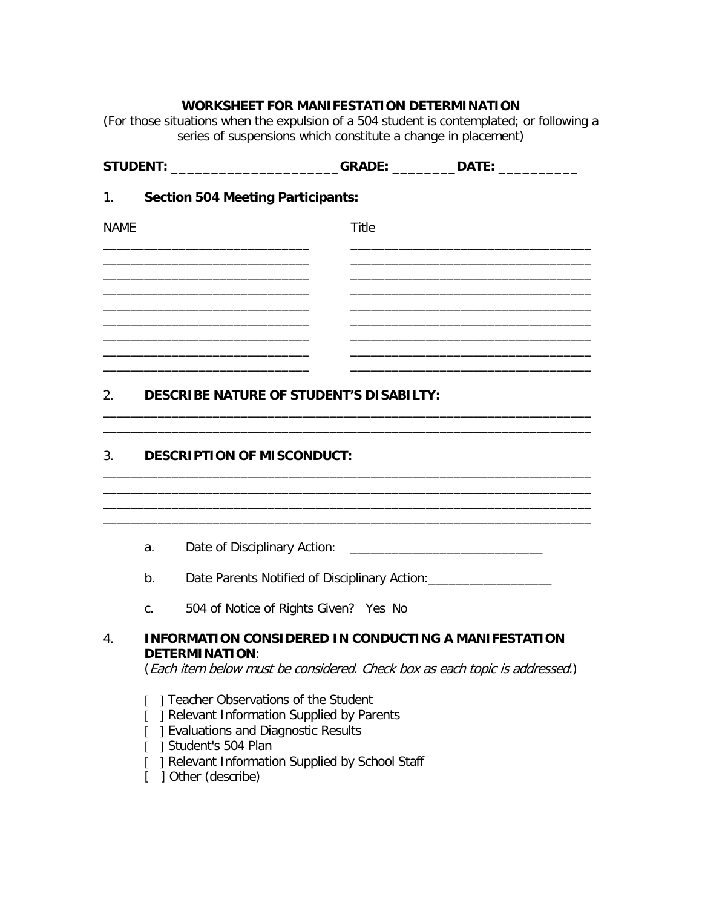# **WORKSHEET FOR MANIFESTATION DETERMINATION**

(For those situations when the expulsion of a 504 student is contemplated; or following a series of suspensions which constitute a change in placement)

|             |                               | _GRADE: ____________DATE: ______________<br>STUDENT: _________________________                                                                                                                                             |  |  |  |  |
|-------------|-------------------------------|----------------------------------------------------------------------------------------------------------------------------------------------------------------------------------------------------------------------------|--|--|--|--|
| 1.          |                               | <b>Section 504 Meeting Participants:</b>                                                                                                                                                                                   |  |  |  |  |
| <b>NAME</b> |                               | <b>Title</b>                                                                                                                                                                                                               |  |  |  |  |
|             |                               | the control of the control of the control of the control of the control of the control of                                                                                                                                  |  |  |  |  |
|             |                               |                                                                                                                                                                                                                            |  |  |  |  |
|             |                               |                                                                                                                                                                                                                            |  |  |  |  |
|             |                               | <u> 1989 - Johann John Stein, markin fan it ferskearre fan it ferskearre fan it ferskearre fan it ferskearre fan i</u>                                                                                                     |  |  |  |  |
|             |                               | <u> 1989 - Johann John Stoff, deutscher Stoffen und der Stoffen und der Stoffen und der Stoffen und der Stoffen u</u>                                                                                                      |  |  |  |  |
|             |                               | 2. DESCRIBE NATURE OF STUDENT'S DISABILTY:                                                                                                                                                                                 |  |  |  |  |
|             | 3. DESCRIPTION OF MISCONDUCT: |                                                                                                                                                                                                                            |  |  |  |  |
|             |                               |                                                                                                                                                                                                                            |  |  |  |  |
|             |                               |                                                                                                                                                                                                                            |  |  |  |  |
|             | a.                            |                                                                                                                                                                                                                            |  |  |  |  |
|             | b.                            | Date Parents Notified of Disciplinary Action: __________________________________                                                                                                                                           |  |  |  |  |
|             | $C_{\cdot}$                   | 504 of Notice of Rights Given? Yes No                                                                                                                                                                                      |  |  |  |  |
| 4.          |                               | <b>INFORMATION CONSIDERED IN CONDUCTING A MANIFESTATION</b><br><b>DETERMINATION:</b><br>(Each item below must be considered. Check box as each topic is addressed.)                                                        |  |  |  |  |
|             |                               | Teacher Observations of the Student<br>] Relevant Information Supplied by Parents<br>] Evaluations and Diagnostic Results<br>] Student's 504 Plan<br>] Relevant Information Supplied by School Staff<br>] Other (describe) |  |  |  |  |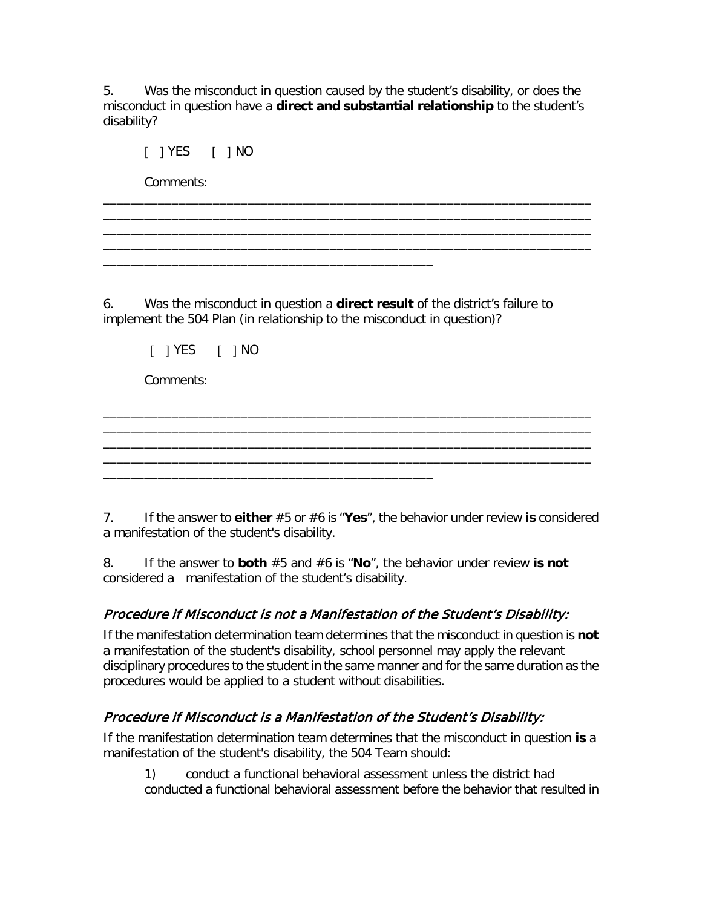5. Was the misconduct in question caused by the student's disability, or does the misconduct in question have a **direct and substantial relationship** to the student's disability?

\_\_\_\_\_\_\_\_\_\_\_\_\_\_\_\_\_\_\_\_\_\_\_\_\_\_\_\_\_\_\_\_\_\_\_\_\_\_\_\_\_\_\_\_\_\_\_\_\_\_\_\_\_\_\_\_\_\_\_\_\_\_\_\_\_\_\_\_\_\_\_ \_\_\_\_\_\_\_\_\_\_\_\_\_\_\_\_\_\_\_\_\_\_\_\_\_\_\_\_\_\_\_\_\_\_\_\_\_\_\_\_\_\_\_\_\_\_\_\_\_\_\_\_\_\_\_\_\_\_\_\_\_\_\_\_\_\_\_\_\_\_\_ \_\_\_\_\_\_\_\_\_\_\_\_\_\_\_\_\_\_\_\_\_\_\_\_\_\_\_\_\_\_\_\_\_\_\_\_\_\_\_\_\_\_\_\_\_\_\_\_\_\_\_\_\_\_\_\_\_\_\_\_\_\_\_\_\_\_\_\_\_\_\_ \_\_\_\_\_\_\_\_\_\_\_\_\_\_\_\_\_\_\_\_\_\_\_\_\_\_\_\_\_\_\_\_\_\_\_\_\_\_\_\_\_\_\_\_\_\_\_\_\_\_\_\_\_\_\_\_\_\_\_\_\_\_\_\_\_\_\_\_\_\_\_

[ ] YES [ ] NO

Comments:

6. Was the misconduct in question a **direct result** of the district's failure to implement the 504 Plan (in relationship to the misconduct in question)?

\_\_\_\_\_\_\_\_\_\_\_\_\_\_\_\_\_\_\_\_\_\_\_\_\_\_\_\_\_\_\_\_\_\_\_\_\_\_\_\_\_\_\_\_\_\_\_\_

\_\_\_\_\_\_\_\_\_\_\_\_\_\_\_\_\_\_\_\_\_\_\_\_\_\_\_\_\_\_\_\_\_\_\_\_\_\_\_\_\_\_\_\_\_\_\_\_

[ ] YES [ ] NO

Comments:

7. If the answer to **either** #5 or #6 is "**Yes**", the behavior under review **is** considered a manifestation of the student's disability.

\_\_\_\_\_\_\_\_\_\_\_\_\_\_\_\_\_\_\_\_\_\_\_\_\_\_\_\_\_\_\_\_\_\_\_\_\_\_\_\_\_\_\_\_\_\_\_\_\_\_\_\_\_\_\_\_\_\_\_\_\_\_\_\_\_\_\_\_\_\_\_ \_\_\_\_\_\_\_\_\_\_\_\_\_\_\_\_\_\_\_\_\_\_\_\_\_\_\_\_\_\_\_\_\_\_\_\_\_\_\_\_\_\_\_\_\_\_\_\_\_\_\_\_\_\_\_\_\_\_\_\_\_\_\_\_\_\_\_\_\_\_\_ \_\_\_\_\_\_\_\_\_\_\_\_\_\_\_\_\_\_\_\_\_\_\_\_\_\_\_\_\_\_\_\_\_\_\_\_\_\_\_\_\_\_\_\_\_\_\_\_\_\_\_\_\_\_\_\_\_\_\_\_\_\_\_\_\_\_\_\_\_\_\_ \_\_\_\_\_\_\_\_\_\_\_\_\_\_\_\_\_\_\_\_\_\_\_\_\_\_\_\_\_\_\_\_\_\_\_\_\_\_\_\_\_\_\_\_\_\_\_\_\_\_\_\_\_\_\_\_\_\_\_\_\_\_\_\_\_\_\_\_\_\_\_

8. If the answer to **both** #5 and #6 is "**No**", the behavior under review **is not** considered a manifestation of the student's disability.

# Procedure if Misconduct is not a Manifestation of the Student's Disability:

If the manifestation determination team determines that the misconduct in question is **not** a manifestation of the student's disability, school personnel may apply the relevant disciplinary procedures to the student in the same manner and for the same duration as the procedures would be applied to a student without disabilities.

# Procedure if Misconduct is a Manifestation of the Student's Disability:

If the manifestation determination team determines that the misconduct in question **is** a manifestation of the student's disability, the 504 Team should:

1) conduct a functional behavioral assessment unless the district had conducted a functional behavioral assessment before the behavior that resulted in